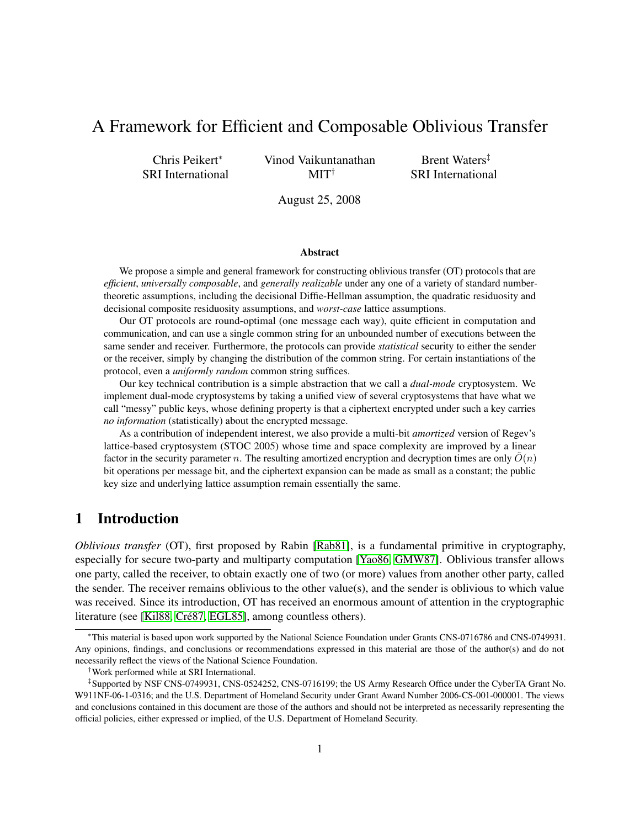# A Framework for Efficient and Composable Oblivious Transfer

Chris Peikert<sup>∗</sup> SRI International Vinod Vaikuntanathan MIT†

Brent Waters<sup>‡</sup> SRI International

August 25, 2008

#### Abstract

We propose a simple and general framework for constructing oblivious transfer (OT) protocols that are *efficient*, *universally composable*, and *generally realizable* under any one of a variety of standard numbertheoretic assumptions, including the decisional Diffie-Hellman assumption, the quadratic residuosity and decisional composite residuosity assumptions, and *worst-case* lattice assumptions.

Our OT protocols are round-optimal (one message each way), quite efficient in computation and communication, and can use a single common string for an unbounded number of executions between the same sender and receiver. Furthermore, the protocols can provide *statistical* security to either the sender or the receiver, simply by changing the distribution of the common string. For certain instantiations of the protocol, even a *uniformly random* common string suffices.

Our key technical contribution is a simple abstraction that we call a *dual-mode* cryptosystem. We implement dual-mode cryptosystems by taking a unified view of several cryptosystems that have what we call "messy" public keys, whose defining property is that a ciphertext encrypted under such a key carries *no information* (statistically) about the encrypted message.

As a contribution of independent interest, we also provide a multi-bit *amortized* version of Regev's lattice-based cryptosystem (STOC 2005) whose time and space complexity are improved by a linear factor in the security parameter n. The resulting amortized encryption and decryption times are only  $\hat{O}(n)$ bit operations per message bit, and the ciphertext expansion can be made as small as a constant; the public key size and underlying lattice assumption remain essentially the same.

## 1 Introduction

*Oblivious transfer* (OT), first proposed by Rabin [\[Rab81\]](#page-26-0), is a fundamental primitive in cryptography, especially for secure two-party and multiparty computation [\[Yao86,](#page-27-0) [GMW87\]](#page-26-1). Oblivious transfer allows one party, called the receiver, to obtain exactly one of two (or more) values from another other party, called the sender. The receiver remains oblivious to the other value(s), and the sender is oblivious to which value was received. Since its introduction, OT has received an enormous amount of attention in the cryptographic literature (see [\[Kil88,](#page-26-2) Cré87, [EGL85\]](#page-25-1), among countless others).

<sup>∗</sup>This material is based upon work supported by the National Science Foundation under Grants CNS-0716786 and CNS-0749931. Any opinions, findings, and conclusions or recommendations expressed in this material are those of the author(s) and do not necessarily reflect the views of the National Science Foundation.

<sup>†</sup>Work performed while at SRI International.

<sup>‡</sup> Supported by NSF CNS-0749931, CNS-0524252, CNS-0716199; the US Army Research Office under the CyberTA Grant No. W911NF-06-1-0316; and the U.S. Department of Homeland Security under Grant Award Number 2006-CS-001-000001. The views and conclusions contained in this document are those of the authors and should not be interpreted as necessarily representing the official policies, either expressed or implied, of the U.S. Department of Homeland Security.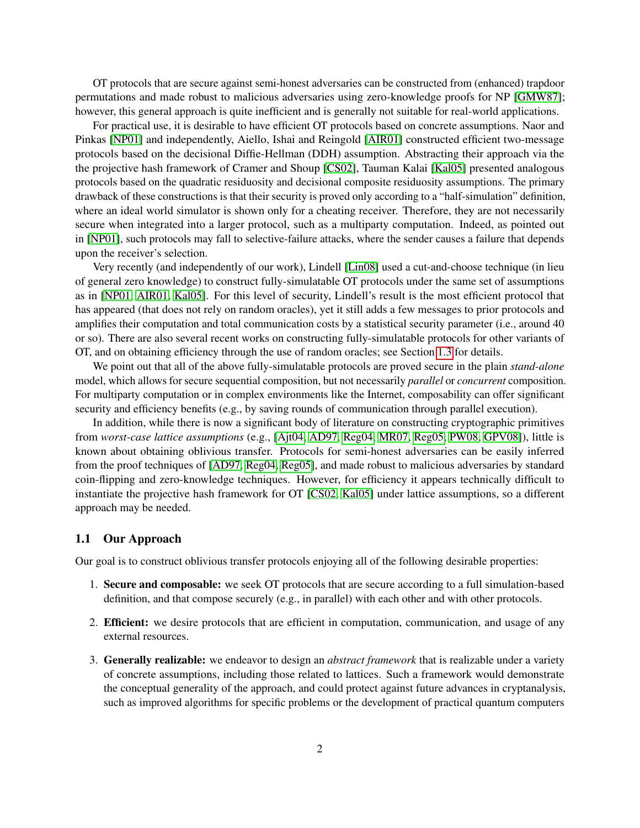OT protocols that are secure against semi-honest adversaries can be constructed from (enhanced) trapdoor permutations and made robust to malicious adversaries using zero-knowledge proofs for NP [\[GMW87\]](#page-26-1); however, this general approach is quite inefficient and is generally not suitable for real-world applications.

For practical use, it is desirable to have efficient OT protocols based on concrete assumptions. Naor and Pinkas [\[NP01\]](#page-26-3) and independently, Aiello, Ishai and Reingold [\[AIR01\]](#page-25-2) constructed efficient two-message protocols based on the decisional Diffie-Hellman (DDH) assumption. Abstracting their approach via the the projective hash framework of Cramer and Shoup [\[CS02\]](#page-25-3), Tauman Kalai [\[Kal05\]](#page-26-4) presented analogous protocols based on the quadratic residuosity and decisional composite residuosity assumptions. The primary drawback of these constructions is that their security is proved only according to a "half-simulation" definition, where an ideal world simulator is shown only for a cheating receiver. Therefore, they are not necessarily secure when integrated into a larger protocol, such as a multiparty computation. Indeed, as pointed out in [\[NP01\]](#page-26-3), such protocols may fall to selective-failure attacks, where the sender causes a failure that depends upon the receiver's selection.

Very recently (and independently of our work), Lindell [\[Lin08\]](#page-26-5) used a cut-and-choose technique (in lieu of general zero knowledge) to construct fully-simulatable OT protocols under the same set of assumptions as in [\[NP01,](#page-26-3) [AIR01,](#page-25-2) [Kal05\]](#page-26-4). For this level of security, Lindell's result is the most efficient protocol that has appeared (that does not rely on random oracles), yet it still adds a few messages to prior protocols and amplifies their computation and total communication costs by a statistical security parameter (i.e., around 40 or so). There are also several recent works on constructing fully-simulatable protocols for other variants of OT, and on obtaining efficiency through the use of random oracles; see Section [1.3](#page-4-0) for details.

We point out that all of the above fully-simulatable protocols are proved secure in the plain *stand-alone* model, which allows for secure sequential composition, but not necessarily *parallel* or *concurrent* composition. For multiparty computation or in complex environments like the Internet, composability can offer significant security and efficiency benefits (e.g., by saving rounds of communication through parallel execution).

In addition, while there is now a significant body of literature on constructing cryptographic primitives from *worst-case lattice assumptions* (e.g., [\[Ajt04,](#page-25-4) [AD97,](#page-25-5) [Reg04,](#page-27-1) [MR07,](#page-26-6) [Reg05,](#page-27-2) [PW08,](#page-26-7) [GPV08\]](#page-26-8)), little is known about obtaining oblivious transfer. Protocols for semi-honest adversaries can be easily inferred from the proof techniques of [\[AD97,](#page-25-5) [Reg04,](#page-27-1) [Reg05\]](#page-27-2), and made robust to malicious adversaries by standard coin-flipping and zero-knowledge techniques. However, for efficiency it appears technically difficult to instantiate the projective hash framework for OT [\[CS02,](#page-25-3) [Kal05\]](#page-26-4) under lattice assumptions, so a different approach may be needed.

#### 1.1 Our Approach

Our goal is to construct oblivious transfer protocols enjoying all of the following desirable properties:

- 1. Secure and composable: we seek OT protocols that are secure according to a full simulation-based definition, and that compose securely (e.g., in parallel) with each other and with other protocols.
- 2. Efficient: we desire protocols that are efficient in computation, communication, and usage of any external resources.
- 3. Generally realizable: we endeavor to design an *abstract framework* that is realizable under a variety of concrete assumptions, including those related to lattices. Such a framework would demonstrate the conceptual generality of the approach, and could protect against future advances in cryptanalysis, such as improved algorithms for specific problems or the development of practical quantum computers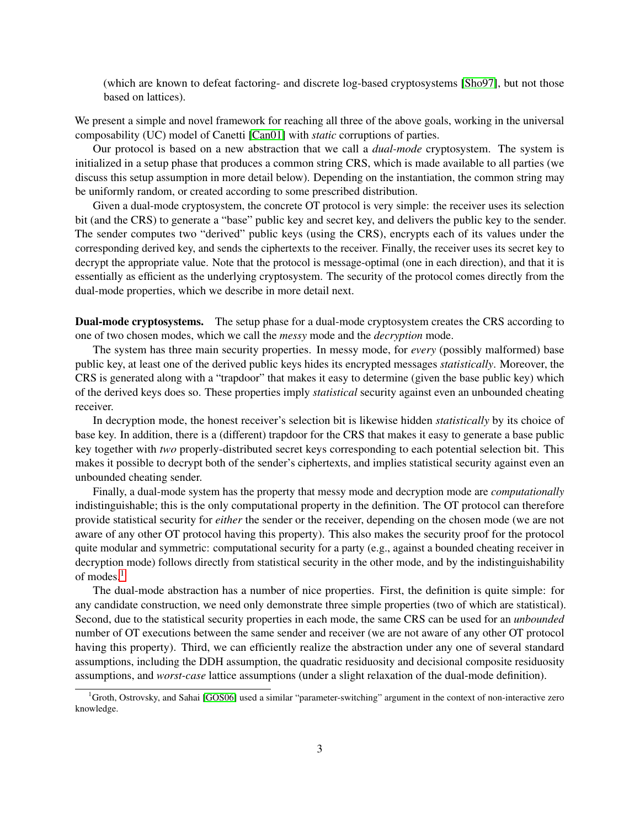(which are known to defeat factoring- and discrete log-based cryptosystems [\[Sho97\]](#page-27-3), but not those based on lattices).

We present a simple and novel framework for reaching all three of the above goals, working in the universal composability (UC) model of Canetti [\[Can01\]](#page-25-6) with *static* corruptions of parties.

Our protocol is based on a new abstraction that we call a *dual-mode* cryptosystem. The system is initialized in a setup phase that produces a common string CRS, which is made available to all parties (we discuss this setup assumption in more detail below). Depending on the instantiation, the common string may be uniformly random, or created according to some prescribed distribution.

Given a dual-mode cryptosystem, the concrete OT protocol is very simple: the receiver uses its selection bit (and the CRS) to generate a "base" public key and secret key, and delivers the public key to the sender. The sender computes two "derived" public keys (using the CRS), encrypts each of its values under the corresponding derived key, and sends the ciphertexts to the receiver. Finally, the receiver uses its secret key to decrypt the appropriate value. Note that the protocol is message-optimal (one in each direction), and that it is essentially as efficient as the underlying cryptosystem. The security of the protocol comes directly from the dual-mode properties, which we describe in more detail next.

Dual-mode cryptosystems. The setup phase for a dual-mode cryptosystem creates the CRS according to one of two chosen modes, which we call the *messy* mode and the *decryption* mode.

The system has three main security properties. In messy mode, for *every* (possibly malformed) base public key, at least one of the derived public keys hides its encrypted messages *statistically*. Moreover, the CRS is generated along with a "trapdoor" that makes it easy to determine (given the base public key) which of the derived keys does so. These properties imply *statistical* security against even an unbounded cheating receiver.

In decryption mode, the honest receiver's selection bit is likewise hidden *statistically* by its choice of base key. In addition, there is a (different) trapdoor for the CRS that makes it easy to generate a base public key together with *two* properly-distributed secret keys corresponding to each potential selection bit. This makes it possible to decrypt both of the sender's ciphertexts, and implies statistical security against even an unbounded cheating sender.

Finally, a dual-mode system has the property that messy mode and decryption mode are *computationally* indistinguishable; this is the only computational property in the definition. The OT protocol can therefore provide statistical security for *either* the sender or the receiver, depending on the chosen mode (we are not aware of any other OT protocol having this property). This also makes the security proof for the protocol quite modular and symmetric: computational security for a party (e.g., against a bounded cheating receiver in decryption mode) follows directly from statistical security in the other mode, and by the indistinguishability of modes.<sup>[1](#page-2-0)</sup>

The dual-mode abstraction has a number of nice properties. First, the definition is quite simple: for any candidate construction, we need only demonstrate three simple properties (two of which are statistical). Second, due to the statistical security properties in each mode, the same CRS can be used for an *unbounded* number of OT executions between the same sender and receiver (we are not aware of any other OT protocol having this property). Third, we can efficiently realize the abstraction under any one of several standard assumptions, including the DDH assumption, the quadratic residuosity and decisional composite residuosity assumptions, and *worst-case* lattice assumptions (under a slight relaxation of the dual-mode definition).

<span id="page-2-0"></span> $1$ Groth, Ostrovsky, and Sahai [\[GOS06\]](#page-26-9) used a similar "parameter-switching" argument in the context of non-interactive zero knowledge.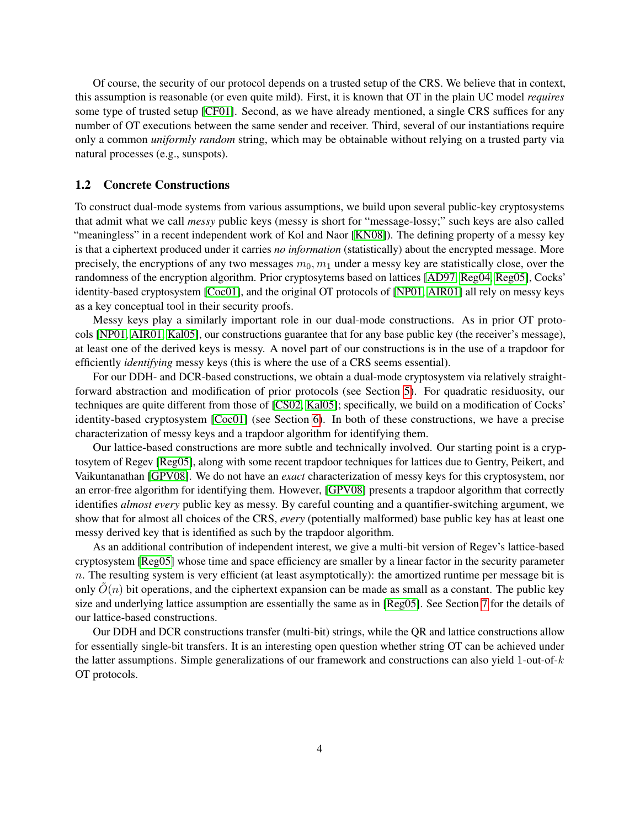Of course, the security of our protocol depends on a trusted setup of the CRS. We believe that in context, this assumption is reasonable (or even quite mild). First, it is known that OT in the plain UC model *requires* some type of trusted setup [\[CF01\]](#page-25-7). Second, as we have already mentioned, a single CRS suffices for any number of OT executions between the same sender and receiver. Third, several of our instantiations require only a common *uniformly random* string, which may be obtainable without relying on a trusted party via natural processes (e.g., sunspots).

#### 1.2 Concrete Constructions

To construct dual-mode systems from various assumptions, we build upon several public-key cryptosystems that admit what we call *messy* public keys (messy is short for "message-lossy;" such keys are also called "meaningless" in a recent independent work of Kol and Naor [\[KN08\]](#page-26-10)). The defining property of a messy key is that a ciphertext produced under it carries *no information* (statistically) about the encrypted message. More precisely, the encryptions of any two messages  $m_0, m_1$  under a messy key are statistically close, over the randomness of the encryption algorithm. Prior cryptosytems based on lattices [\[AD97,](#page-25-5) [Reg04,](#page-27-1) [Reg05\]](#page-27-2), Cocks' identity-based cryptosystem [\[Coc01\]](#page-25-8), and the original OT protocols of [\[NP01,](#page-26-3) [AIR01\]](#page-25-2) all rely on messy keys as a key conceptual tool in their security proofs.

Messy keys play a similarly important role in our dual-mode constructions. As in prior OT protocols [\[NP01,](#page-26-3) [AIR01,](#page-25-2) [Kal05\]](#page-26-4), our constructions guarantee that for any base public key (the receiver's message), at least one of the derived keys is messy. A novel part of our constructions is in the use of a trapdoor for efficiently *identifying* messy keys (this is where the use of a CRS seems essential).

For our DDH- and DCR-based constructions, we obtain a dual-mode cryptosystem via relatively straightforward abstraction and modification of prior protocols (see Section [5\)](#page-10-0). For quadratic residuosity, our techniques are quite different from those of [\[CS02,](#page-25-3) [Kal05\]](#page-26-4); specifically, we build on a modification of Cocks' identity-based cryptosystem [\[Coc01\]](#page-25-8) (see Section [6\)](#page-13-0). In both of these constructions, we have a precise characterization of messy keys and a trapdoor algorithm for identifying them.

Our lattice-based constructions are more subtle and technically involved. Our starting point is a cryptosytem of Regev [\[Reg05\]](#page-27-2), along with some recent trapdoor techniques for lattices due to Gentry, Peikert, and Vaikuntanathan [\[GPV08\]](#page-26-8). We do not have an *exact* characterization of messy keys for this cryptosystem, nor an error-free algorithm for identifying them. However, [\[GPV08\]](#page-26-8) presents a trapdoor algorithm that correctly identifies *almost every* public key as messy. By careful counting and a quantifier-switching argument, we show that for almost all choices of the CRS, *every* (potentially malformed) base public key has at least one messy derived key that is identified as such by the trapdoor algorithm.

As an additional contribution of independent interest, we give a multi-bit version of Regev's lattice-based cryptosystem [\[Reg05\]](#page-27-2) whose time and space efficiency are smaller by a linear factor in the security parameter  $n$ . The resulting system is very efficient (at least asymptotically): the amortized runtime per message bit is only  $\tilde{O}(n)$  bit operations, and the ciphertext expansion can be made as small as a constant. The public key size and underlying lattice assumption are essentially the same as in [\[Reg05\]](#page-27-2). See Section [7](#page-14-0) for the details of our lattice-based constructions.

Our DDH and DCR constructions transfer (multi-bit) strings, while the QR and lattice constructions allow for essentially single-bit transfers. It is an interesting open question whether string OT can be achieved under the latter assumptions. Simple generalizations of our framework and constructions can also yield 1-out-of-k OT protocols.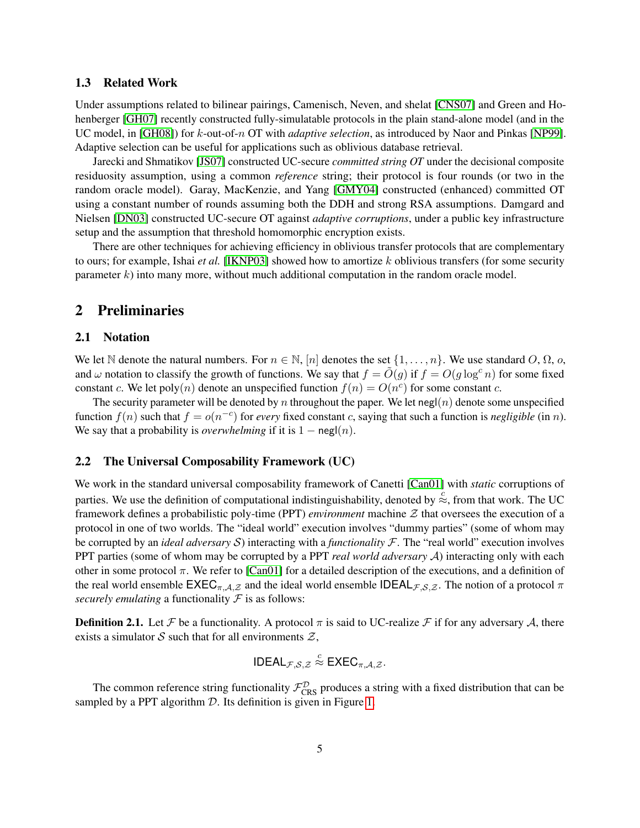#### <span id="page-4-0"></span>1.3 Related Work

Under assumptions related to bilinear pairings, Camenisch, Neven, and shelat [\[CNS07\]](#page-25-9) and Green and Hohenberger [\[GH07\]](#page-25-10) recently constructed fully-simulatable protocols in the plain stand-alone model (and in the UC model, in [\[GH08\]](#page-25-11)) for k-out-of-n OT with *adaptive selection*, as introduced by Naor and Pinkas [\[NP99\]](#page-26-11). Adaptive selection can be useful for applications such as oblivious database retrieval.

Jarecki and Shmatikov [\[JS07\]](#page-26-12) constructed UC-secure *committed string OT* under the decisional composite residuosity assumption, using a common *reference* string; their protocol is four rounds (or two in the random oracle model). Garay, MacKenzie, and Yang [\[GMY04\]](#page-26-13) constructed (enhanced) committed OT using a constant number of rounds assuming both the DDH and strong RSA assumptions. Damgard and Nielsen [\[DN03\]](#page-25-12) constructed UC-secure OT against *adaptive corruptions*, under a public key infrastructure setup and the assumption that threshold homomorphic encryption exists.

There are other techniques for achieving efficiency in oblivious transfer protocols that are complementary to ours; for example, Ishai *et al.* [\[IKNP03\]](#page-26-14) showed how to amortize k oblivious transfers (for some security parameter  $k$ ) into many more, without much additional computation in the random oracle model.

## 2 Preliminaries

#### 2.1 Notation

We let N denote the natural numbers. For  $n \in \mathbb{N}$ ,  $[n]$  denotes the set  $\{1, \ldots, n\}$ . We use standard O,  $\Omega$ , o, and  $\omega$  notation to classify the growth of functions. We say that  $f = \tilde{O}(g)$  if  $f = O(g \log^c n)$  for some fixed constant c. We let poly $(n)$  denote an unspecified function  $f(n) = O(n^c)$  for some constant c.

The security parameter will be denoted by n throughout the paper. We let negl(n) denote some unspecified function  $f(n)$  such that  $f = o(n^{-c})$  for *every* fixed constant c, saying that such a function is *negligible* (in *n*). We say that a probability is *overwhelming* if it is  $1 - \text{negl}(n)$ .

#### 2.2 The Universal Composability Framework (UC)

We work in the standard universal composability framework of Canetti [\[Can01\]](#page-25-6) with *static* corruptions of parties. We use the definition of computational indistinguishability, denoted by  $\leq \atop{\infty}$ , from that work. The UC framework defines a probabilistic poly-time (PPT) *environment* machine Z that oversees the execution of a protocol in one of two worlds. The "ideal world" execution involves "dummy parties" (some of whom may be corrupted by an *ideal adversary* S) interacting with a *functionality* F. The "real world" execution involves PPT parties (some of whom may be corrupted by a PPT *real world adversary* A) interacting only with each other in some protocol  $\pi$ . We refer to [\[Can01\]](#page-25-6) for a detailed description of the executions, and a definition of the real world ensemble  $\mathsf{EXEC}_{\pi,\mathcal{A},\mathcal{Z}}$  and the ideal world ensemble  $\mathsf{IDEAL}_{\mathcal{F},\mathcal{S},\mathcal{Z}}$ . The notion of a protocol  $\pi$ *securely emulating* a functionality  $F$  is as follows:

**Definition 2.1.** Let F be a functionality. A protocol  $\pi$  is said to UC-realize F if for any adversary A, there exists a simulator S such that for all environments  $\mathcal{Z}$ ,

$$
\mathsf{IDEAL}_{\mathcal{F},\mathcal{S},\mathcal{Z}} \stackrel{c}{\approx} \mathsf{EXEC}_{\pi,\mathcal{A},\mathcal{Z}}.
$$

The common reference string functionality  $\mathcal{F}_{CRS}^{\mathcal{D}}$  produces a string with a fixed distribution that can be sampled by a PPT algorithm  $D$ . Its definition is given in Figure [1.](#page-5-0)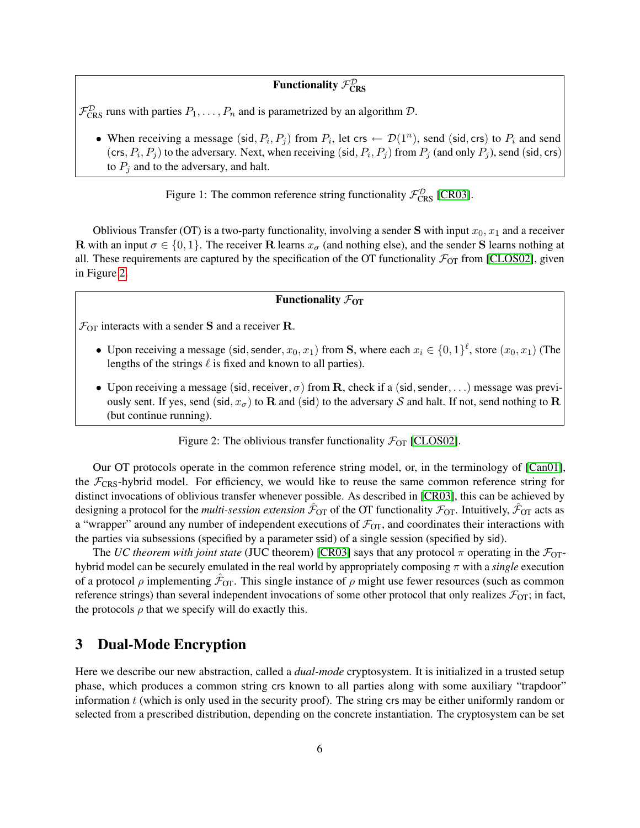# Functionality  $\mathcal{F}_{\text{CRS}}^{\mathcal{D}}$

 $\mathcal{F}_{CRS}^{\mathcal{D}}$  runs with parties  $P_1, \ldots, P_n$  and is parametrized by an algorithm  $\mathcal{D}$ .

• When receiving a message (sid,  $P_i, P_j$ ) from  $P_i$ , let crs  $\leftarrow \mathcal{D}(1^n)$ , send (sid, crs) to  $P_i$  and send (crs,  $P_i$ ,  $P_j$ ) to the adversary. Next, when receiving (sid,  $P_i$ ,  $P_j$ ) from  $P_j$  (and only  $P_j$ ), send (sid, crs) to  $P_i$  and to the adversary, and halt.

<span id="page-5-0"></span>Figure 1: The common reference string functionality  $\mathcal{F}_{CRS}^{\mathcal{D}}$  [\[CR03\]](#page-25-13).

Oblivious Transfer (OT) is a two-party functionality, involving a sender S with input  $x_0, x_1$  and a receiver **R** with an input  $\sigma \in \{0, 1\}$ . The receiver **R** learns  $x_{\sigma}$  (and nothing else), and the sender **S** learns nothing at all. These requirements are captured by the specification of the OT functionality  $\mathcal{F}_{OT}$  from [\[CLOS02\]](#page-25-14), given in Figure [2.](#page-5-1)

### Functionality  $\mathcal{F}_{OT}$

 $\mathcal{F}_{OT}$  interacts with a sender **S** and a receiver **R**.

- Upon receiving a message (sid, sender,  $x_0, x_1$ ) from S, where each  $x_i \in \{0, 1\}^{\ell}$ , store  $(x_0, x_1)$  (The lengths of the strings  $\ell$  is fixed and known to all parties).
- Upon receiving a message (sid, receiver,  $\sigma$ ) from R, check if a (sid, sender, ...) message was previously sent. If yes, send (sid,  $x_{\sigma}$ ) to R and (sid) to the adversary S and halt. If not, send nothing to R (but continue running).

<span id="page-5-1"></span>Figure 2: The oblivious transfer functionality  $\mathcal{F}_{OT}$  [\[CLOS02\]](#page-25-14).

Our OT protocols operate in the common reference string model, or, in the terminology of [\[Can01\]](#page-25-6), the  $\mathcal{F}_{CRS}$ -hybrid model. For efficiency, we would like to reuse the same common reference string for distinct invocations of oblivious transfer whenever possible. As described in [\[CR03\]](#page-25-13), this can be achieved by designing a protocol for the *multi-session extension*  $\hat{F}_{OT}$  of the OT functionality  $\cal{F}_{OT}$ . Intuitively,  $\hat{F}_{OT}$  acts as a "wrapper" around any number of independent executions of  $\mathcal{F}_{OT}$ , and coordinates their interactions with the parties via subsessions (specified by a parameter ssid) of a single session (specified by sid).

The *UC theorem with joint state* (JUC theorem) [\[CR03\]](#page-25-13) says that any protocol  $\pi$  operating in the  $\mathcal{F}_{OT}$ hybrid model can be securely emulated in the real world by appropriately composing π with a *single* execution of a protocol  $\rho$  implementing  $\hat{\mathcal{F}}_{OT}$ . This single instance of  $\rho$  might use fewer resources (such as common reference strings) than several independent invocations of some other protocol that only realizes  $\mathcal{F}_{OT}$ ; in fact, the protocols  $\rho$  that we specify will do exactly this.

### 3 Dual-Mode Encryption

Here we describe our new abstraction, called a *dual-mode* cryptosystem. It is initialized in a trusted setup phase, which produces a common string crs known to all parties along with some auxiliary "trapdoor" information  $t$  (which is only used in the security proof). The string crs may be either uniformly random or selected from a prescribed distribution, depending on the concrete instantiation. The cryptosystem can be set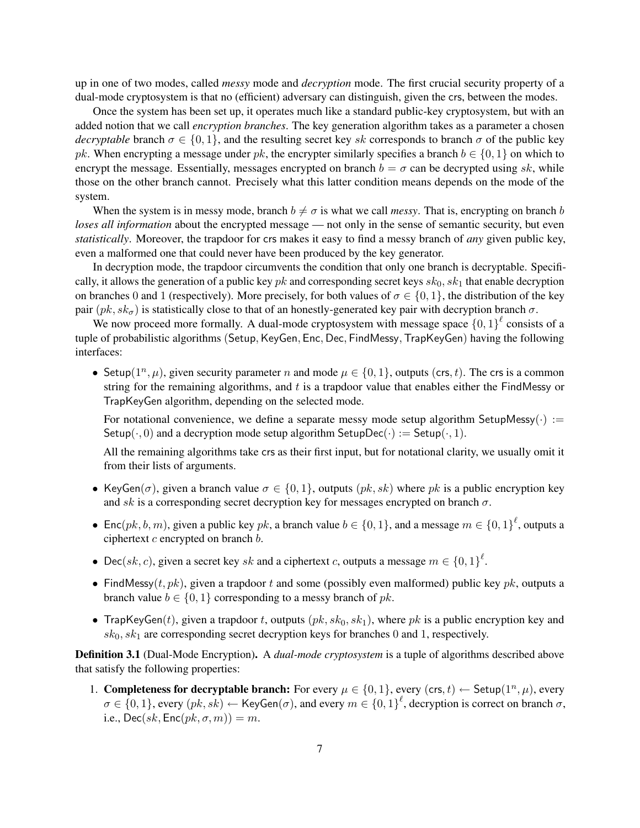up in one of two modes, called *messy* mode and *decryption* mode. The first crucial security property of a dual-mode cryptosystem is that no (efficient) adversary can distinguish, given the crs, between the modes.

Once the system has been set up, it operates much like a standard public-key cryptosystem, but with an added notion that we call *encryption branches*. The key generation algorithm takes as a parameter a chosen *decryptable* branch  $\sigma \in \{0, 1\}$ , and the resulting secret key sk corresponds to branch  $\sigma$  of the public key pk. When encrypting a message under pk, the encrypter similarly specifies a branch  $b \in \{0, 1\}$  on which to encrypt the message. Essentially, messages encrypted on branch  $b = \sigma$  can be decrypted using sk, while those on the other branch cannot. Precisely what this latter condition means depends on the mode of the system.

When the system is in messy mode, branch  $b \neq \sigma$  is what we call *messy*. That is, encrypting on branch b *loses all information* about the encrypted message — not only in the sense of semantic security, but even *statistically*. Moreover, the trapdoor for crs makes it easy to find a messy branch of *any* given public key, even a malformed one that could never have been produced by the key generator.

In decryption mode, the trapdoor circumvents the condition that only one branch is decryptable. Specifically, it allows the generation of a public key  $pk$  and corresponding secret keys  $sk_0, sk_1$  that enable decryption on branches 0 and 1 (respectively). More precisely, for both values of  $\sigma \in \{0, 1\}$ , the distribution of the key pair  $(pk, sk_{\sigma})$  is statistically close to that of an honestly-generated key pair with decryption branch  $\sigma$ .

We now proceed more formally. A dual-mode cryptosystem with message space  $\{0,1\}^{\ell}$  consists of a tuple of probabilistic algorithms (Setup, KeyGen, Enc, Dec, FindMessy, TrapKeyGen) having the following interfaces:

• Setup $(1^n, \mu)$ , given security parameter n and mode  $\mu \in \{0, 1\}$ , outputs  $(crs, t)$ . The crs is a common string for the remaining algorithms, and  $t$  is a trapdoor value that enables either the FindMessy or TrapKeyGen algorithm, depending on the selected mode.

For notational convenience, we define a separate messy mode setup algorithm SetupMessy( $\cdot$ ) := Setup( $\cdot$ , 0) and a decryption mode setup algorithm SetupDec( $\cdot$ ) := Setup( $\cdot$ , 1).

All the remaining algorithms take crs as their first input, but for notational clarity, we usually omit it from their lists of arguments.

- KeyGen( $\sigma$ ), given a branch value  $\sigma \in \{0, 1\}$ , outputs  $(pk, sk)$  where pk is a public encryption key and sk is a corresponding secret decryption key for messages encrypted on branch  $\sigma$ .
- Enc $(pk, b, m)$ , given a public key  $pk$ , a branch value  $b \in \{0, 1\}$ , and a message  $m \in \{0, 1\}^l$ , outputs a ciphertext  $c$  encrypted on branch  $b$ .
- Dec(sk, c), given a secret key sk and a ciphertext c, outputs a message  $m \in \{0,1\}^{\ell}$ .
- FindMessy(t,  $pk$ ), given a trapdoor t and some (possibly even malformed) public key  $pk$ , outputs a branch value  $b \in \{0, 1\}$  corresponding to a messy branch of pk.
- TrapKeyGen(t), given a trapdoor t, outputs  $(pk, sk_0, sk_1)$ , where pk is a public encryption key and  $sk_0, sk_1$  are corresponding secret decryption keys for branches 0 and 1, respectively.

<span id="page-6-0"></span>Definition 3.1 (Dual-Mode Encryption). A *dual-mode cryptosystem* is a tuple of algorithms described above that satisfy the following properties:

1. Completeness for decryptable branch: For every  $\mu \in \{0, 1\}$ , every  $(\text{crs}, t) \leftarrow \text{Setup}(1^n, \mu)$ , every  $\sigma \in \{0,1\}$ , every  $(pk, sk) \leftarrow \text{KeyGen}(\sigma)$ , and every  $m \in \{0,1\}^{\ell}$ , decryption is correct on branch  $\sigma$ , i.e.,  $Dec(sk, Enc(pk, \sigma, m)) = m$ .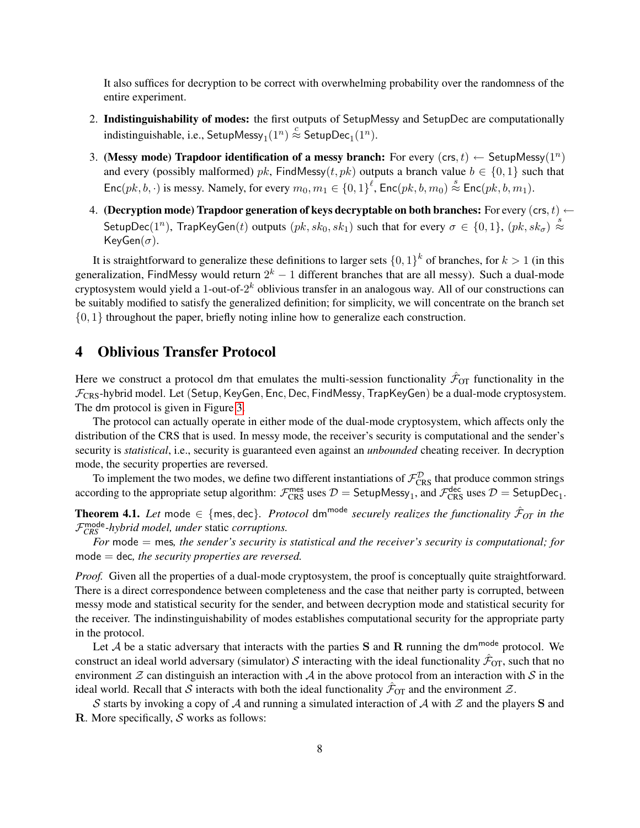It also suffices for decryption to be correct with overwhelming probability over the randomness of the entire experiment.

- 2. Indistinguishability of modes: the first outputs of SetupMessy and SetupDec are computationally indistinguishable, i.e.,  $\mathsf{SetupMessage}_{1}(1^{n}) \stackrel{c}{\approx} \mathsf{SetupDec}_{1}(1^{n}).$
- <span id="page-7-2"></span>3. (Messy mode) Trapdoor identification of a messy branch: For every  $(crs, t) \leftarrow$  SetupMessy $(1^n)$ and every (possibly malformed) pk, FindMessy(t, pk) outputs a branch value  $b \in \{0, 1\}$  such that  $Enc(pk, b, \cdot)$  is messy. Namely, for every  $m_0, m_1 \in \{0, 1\}^{\ell}$ ,  $Enc(pk, b, m_0) \stackrel{s}{\approx} Enc(pk, b, m_1)$ .
- <span id="page-7-0"></span>4. (Decryption mode) Trapdoor generation of keys decryptable on both branches: For every (crs,  $t$ )  $\leftarrow$ SetupDec(1<sup>n</sup>), TrapKeyGen(t) outputs  $(pk, sk_0, sk_1)$  such that for every  $\sigma \in \{0, 1\}$ ,  $(pk, sk_\sigma) \stackrel{s}{\approx}$ KeyGen $(\sigma)$ .

It is straightforward to generalize these definitions to larger sets  $\{0,1\}^k$  of branches, for  $k > 1$  (in this generalization, FindMessy would return  $2^k - 1$  different branches that are all messy). Such a dual-mode cryptosystem would yield a 1-out-of-2 $^k$  oblivious transfer in an analogous way. All of our constructions can be suitably modified to satisfy the generalized definition; for simplicity, we will concentrate on the branch set  $\{0, 1\}$  throughout the paper, briefly noting inline how to generalize each construction.

## <span id="page-7-1"></span>4 Oblivious Transfer Protocol

Here we construct a protocol dm that emulates the multi-session functionality  $\hat{\mathcal{F}}_{OT}$  functionality in the  $\mathcal{F}_{CRS}$ -hybrid model. Let (Setup, KeyGen, Enc, Dec, FindMessy, TrapKeyGen) be a dual-mode cryptosystem. The dm protocol is given in Figure [3.](#page-8-0)

The protocol can actually operate in either mode of the dual-mode cryptosystem, which affects only the distribution of the CRS that is used. In messy mode, the receiver's security is computational and the sender's security is *statistical*, i.e., security is guaranteed even against an *unbounded* cheating receiver. In decryption mode, the security properties are reversed.

To implement the two modes, we define two different instantiations of  $\mathcal{F}_{CRS}^{\mathcal{D}}$  that produce common strings according to the appropriate setup algorithm:  $\mathcal{F}_{CRS}^{mes}$  uses  $\mathcal{D} =$  SetupMessy<sub>1</sub>, and  $\mathcal{F}_{CRS}^{dec}$  uses  $\mathcal{D} =$  SetupDec<sub>1</sub>.

Theorem 4.1. Let mode  $\in$  {mes, dec}. Protocol dm<sup>mode</sup> securely realizes the functionality  $\hat{\mathcal{F}}_{OT}$  in the F mode *CRS -hybrid model, under* static *corruptions.*

*For* mode = mes*, the sender's security is statistical and the receiver's security is computational; for* mode = dec*, the security properties are reversed.*

*Proof.* Given all the properties of a dual-mode cryptosystem, the proof is conceptually quite straightforward. There is a direct correspondence between completeness and the case that neither party is corrupted, between messy mode and statistical security for the sender, and between decryption mode and statistical security for the receiver. The indinstinguishability of modes establishes computational security for the appropriate party in the protocol.

Let  $A$  be a static adversary that interacts with the parties S and R running the dm<sup>mode</sup> protocol. We construct an ideal world adversary (simulator) S interacting with the ideal functionality  $\hat{\mathcal{F}}_{OT}$ , such that no environment  $\mathcal Z$  can distinguish an interaction with  $\mathcal A$  in the above protocol from an interaction with  $\mathcal S$  in the ideal world. Recall that S interacts with both the ideal functionality  $\hat{\mathcal{F}}_{OT}$  and the environment  $\mathcal{Z}$ .

S starts by invoking a copy of A and running a simulated interaction of A with  $\mathcal Z$  and the players S and R. More specifically,  $S$  works as follows: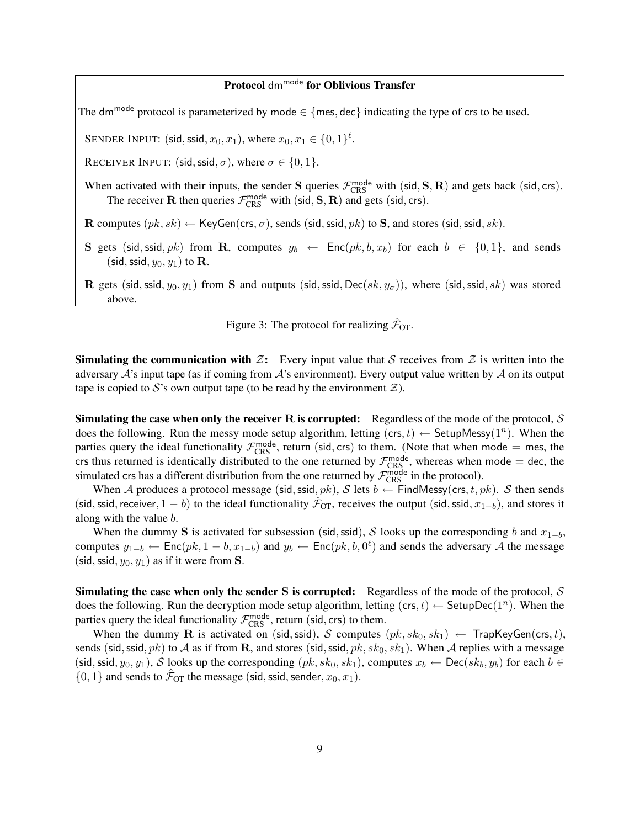### Protocol dm<sup>mode</sup> for Oblivious Transfer

The dm<sup>mode</sup> protocol is parameterized by mode  $\in \{$  mes, dec indicating the type of crs to be used.

SENDER INPUT: (sid, ssid,  $x_0, x_1$ ), where  $x_0, x_1 \in \{0, 1\}^{\ell}$ .

RECEIVER INPUT: (sid, ssid,  $\sigma$ ), where  $\sigma \in \{0, 1\}$ .

When activated with their inputs, the sender S queries  $\mathcal{F}_{CRS}^{mode}$  with (sid, S, R) and gets back (sid, crs). The receiver **R** then queries  $\mathcal{F}_{CRS}^{mode}$  with (sid, S, **R**) and gets (sid, crs).

R computes  $(pk, sk) \leftarrow \text{KeyGen}(\text{crs}, \sigma)$ , sends (sid, ssid, pk) to S, and stores (sid, ssid, sk).

S gets (sid, ssid, pk) from R, computes  $y_b \leftarrow \text{Enc}(pk, b, x_b)$  for each  $b \in \{0, 1\}$ , and sends (sid, ssid,  $y_0, y_1$ ) to **R**.

**R** gets (sid, ssid,  $y_0, y_1$ ) from S and outputs (sid, ssid, Dec(sk,  $y_\sigma$ )), where (sid, ssid, sk) was stored above.

<span id="page-8-0"></span>Figure 3: The protocol for realizing  $\hat{\mathcal{F}}_{OT}$ .

**Simulating the communication with Z:** Every input value that S receives from Z is written into the adversary  $\mathcal A$ 's input tape (as if coming from  $\mathcal A$ 's environment). Every output value written by  $\mathcal A$  on its output tape is copied to S's own output tape (to be read by the environment  $\mathcal{Z}$ ).

**Simulating the case when only the receiver R is corrupted:** Regardless of the mode of the protocol, S does the following. Run the messy mode setup algorithm, letting  $(crs, t) \leftarrow$  SetupMessy $(1^n)$ . When the parties query the ideal functionality  $\mathcal{F}_{CRS}^{mode}$ , return (sid, crs) to them. (Note that when mode = mes, the crs thus returned is identically distributed to the one returned by  $\mathcal{F}_{CRS}^{mode}$ , whereas when mode = dec, the simulated crs has a different distribution from the one returned by  $\mathcal{F}_{CRS}^{mode}$  in the protocol).

When A produces a protocol message (sid, ssid,  $pk$ ), S lets  $b \leftarrow$  FindMessy(crs, t,  $pk$ ). S then sends (sid, ssid, receiver,  $1 - b$ ) to the ideal functionality  $\hat{\mathcal{F}}_{OT}$ , receives the output (sid, ssid,  $x_{1-b}$ ), and stores it along with the value b.

When the dummy S is activated for subsession (sid, ssid), S looks up the corresponding b and  $x_{1-b}$ , computes  $y_{1-b} \leftarrow \text{Enc}(pk, 1-b, x_{1-b})$  and  $y_b \leftarrow \text{Enc}(pk, b, 0^{\ell})$  and sends the adversary A the message (sid, ssid,  $y_0, y_1$ ) as if it were from **S**.

**Simulating the case when only the sender S is corrupted:** Regardless of the mode of the protocol,  $S$ does the following. Run the decryption mode setup algorithm, letting  $(crs, t) \leftarrow$  SetupDec $(1^n)$ . When the parties query the ideal functionality  $\mathcal{F}_{CRS}^{mode}$ , return (sid, crs) to them.

When the dummy **R** is activated on (sid, ssid), S computes  $(pk, sk_0, sk_1) \leftarrow$  TrapKeyGen(crs, t), sends (sid, ssid, pk) to A as if from R, and stores (sid, ssid, pk, sk<sub>0</sub>, sk<sub>1</sub>). When A replies with a message (sid, ssid,  $y_0, y_1$ ), S looks up the corresponding  $(pk, sk_0, sk_1)$ , computes  $x_b \leftarrow \text{Dec}(sk_b, y_b)$  for each  $b \in$  $\{0, 1\}$  and sends to  $\hat{\mathcal{F}}_{OT}$  the message (sid, ssid, sender,  $x_0, x_1$ ).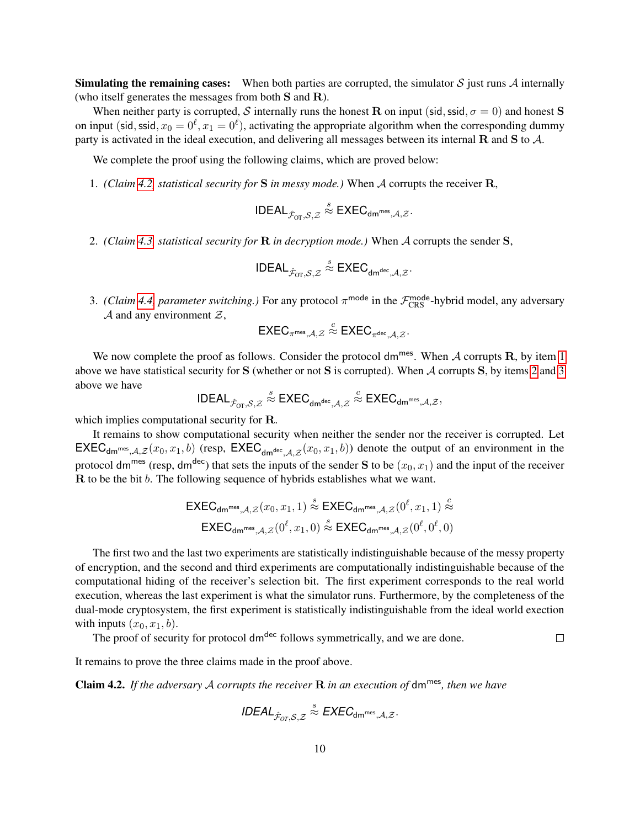**Simulating the remaining cases:** When both parties are corrupted, the simulator  $S$  just runs  $\mathcal A$  internally (who itself generates the messages from both S and R).

When neither party is corrupted, S internally runs the honest R on input (sid, ssid,  $\sigma = 0$ ) and honest S on input (sid, ssid,  $x_0 = 0^{\ell}, x_1 = 0^{\ell}$ ), activating the appropriate algorithm when the corresponding dummy party is activated in the ideal execution, and delivering all messages between its internal  $\bf{R}$  and  $\bf{S}$  to  $\mathcal{A}$ .

We complete the proof using the following claims, which are proved below:

<span id="page-9-1"></span>1. *(Claim [4.2,](#page-9-0) statistical security for* S *in messy mode.)* When A corrupts the receiver R,

$$
\mathsf{IDEAL}_{\hat{\mathcal{F}}_{\mathsf{OT}},\mathcal{S},\mathcal{Z}} \stackrel{s}{\approx} \mathsf{EXEC}_{\mathsf{dm}^{\mathsf{mes}},\mathcal{A},\mathcal{Z}}.
$$

<span id="page-9-2"></span>2. *(Claim [4.3,](#page-10-1) statistical security for* R *in decryption mode.)* When A corrupts the sender S,

$$
\mathsf{IDEAL}_{\hat{\mathcal{F}}_{\mathrm{OT}},\mathcal{S},\mathcal{Z}} \stackrel{s}{\approx} \mathsf{EXEC}_{\mathsf{dm}^{\mathsf{dec}},\mathcal{A},\mathcal{Z}}.
$$

<span id="page-9-3"></span>3. *(Claim [4.4,](#page-10-2) parameter switching.)* For any protocol  $\pi^{\text{mode}}$  in the  $\mathcal{F}^{\text{mode}}_{CRS}$ -hybrid model, any adversary  $A$  and any environment  $Z$ ,

$$
\mathsf{EXEC}_{\pi^{\mathsf{mes}}, \mathcal{A}, \mathcal{Z}} \stackrel{c}{\approx} \mathsf{EXEC}_{\pi^{\mathsf{dec}}, \mathcal{A}, \mathcal{Z}}.
$$

We now complete the proof as follows. Consider the protocol dm<sup>mes</sup>. When  $A$  corrupts  $R$ , by item [1](#page-9-1) above we have statistical security for S (whether or not S is corrupted). When A corrupts S, by items [2](#page-9-2) and [3](#page-9-3) above we have

$$
\mathsf{IDEAL}_{\hat{\mathcal{F}}_{\mathrm{OT}},\mathcal{S},\mathcal{Z}}\overset{s}{\approx}\mathsf{EXEC}_{\mathsf{dm}^{\mathsf{dec}},\mathcal{A},\mathcal{Z}}\overset{c}{\approx}\mathsf{EXEC}_{\mathsf{dm}^{\mathsf{mes}},\mathcal{A},\mathcal{Z}},
$$

which implies computational security for R.

It remains to show computational security when neither the sender nor the receiver is corrupted. Let  $\mathsf{EXEC}_{\mathsf{dm^{mes}},\mathcal{A},\mathcal{Z}}(x_0,x_1,b)$  (resp,  $\mathsf{EXEC}_{\mathsf{dm^{dec}},\mathcal{A},\mathcal{Z}}(x_0,x_1,b)$ ) denote the output of an environment in the protocol dm<sup>mes</sup> (resp, dm<sup>dec</sup>) that sets the inputs of the sender S to be  $(x_0, x_1)$  and the input of the receiver R to be the bit b. The following sequence of hybrids establishes what we want.

$$
\mathsf{EXEC}_{\mathsf{dm}^{\mathsf{mes}},\mathcal{A},\mathcal{Z}}(x_0,x_1,1) \stackrel{s}{\approx} \mathsf{EXEC}_{\mathsf{dm}^{\mathsf{mes}},\mathcal{A},\mathcal{Z}}(0^{\ell},x_1,1) \stackrel{c}{\approx}
$$
  

$$
\mathsf{EXEC}_{\mathsf{dm}^{\mathsf{mes}},\mathcal{A},\mathcal{Z}}(0^{\ell},x_1,0) \stackrel{s}{\approx} \mathsf{EXEC}_{\mathsf{dm}^{\mathsf{mes}},\mathcal{A},\mathcal{Z}}(0^{\ell},0^{\ell},0)
$$

The first two and the last two experiments are statistically indistinguishable because of the messy property of encryption, and the second and third experiments are computationally indistinguishable because of the computational hiding of the receiver's selection bit. The first experiment corresponds to the real world execution, whereas the last experiment is what the simulator runs. Furthermore, by the completeness of the dual-mode cryptosystem, the first experiment is statistically indistinguishable from the ideal world exection with inputs  $(x_0, x_1, b)$ .

The proof of security for protocol dm<sup>dec</sup> follows symmetrically, and we are done.

 $\Box$ 

It remains to prove the three claims made in the proof above.

<span id="page-9-0"></span>Claim 4.2. *If the adversary* A *corrupts the receiver* R *in an execution of* dmmes*, then we have*

$$
\textit{IDEAL}_{\hat{\mathcal{F}}_{\textit{OT}},\mathcal{S},\mathcal{Z}} \overset{\mathcal{S}}{\approx} \textit{EXEC}_{dm^{mes},\mathcal{A},\mathcal{Z}}.
$$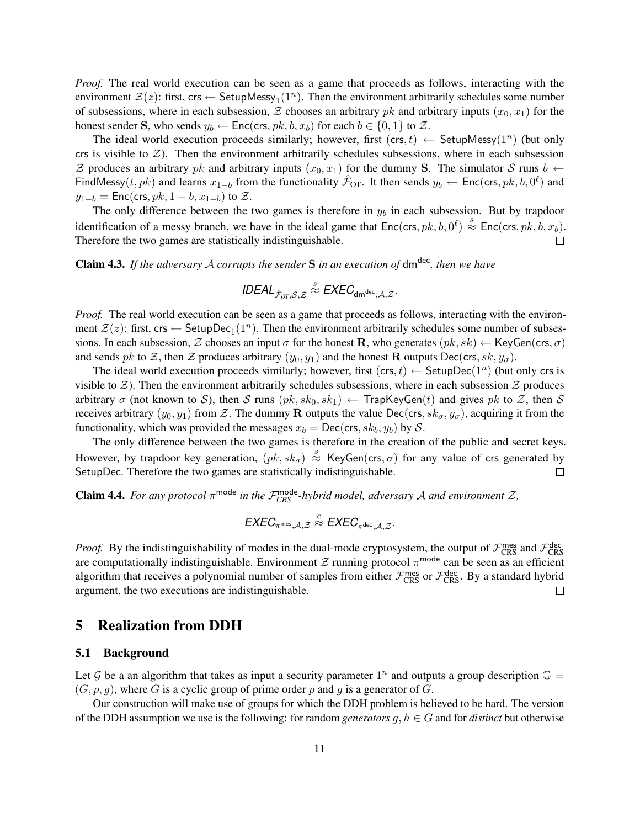*Proof.* The real world execution can be seen as a game that proceeds as follows, interacting with the environment  $\mathcal{Z}(z)$ : first, crs  $\leftarrow$  SetupMessy<sub>1</sub>(1<sup>n</sup>). Then the environment arbitrarily schedules some number of subsessions, where in each subsession, Z chooses an arbitrary pk and arbitrary inputs  $(x_0, x_1)$  for the honest sender S, who sends  $y_b \leftarrow \text{Enc}(\text{crs}, p k, b, x_b)$  for each  $b \in \{0, 1\}$  to  $\mathcal{Z}$ .

The ideal world execution proceeds similarly; however, first  $(crs, t) \leftarrow$  SetupMessy $(1^n)$  (but only crs is visible to  $Z$ ). Then the environment arbitrarily schedules subsessions, where in each subsession Z produces an arbitrary pk and arbitrary inputs  $(x_0, x_1)$  for the dummy S. The simulator S runs  $b \leftarrow$ FindMessy(t, pk) and learns  $x_{1-b}$  from the functionality  $\hat{\mathcal{F}}_{OT}$ . It then sends  $y_b \leftarrow \text{Enc}(\text{crs}, p k, b, 0^{\ell})$  and  $y_{1-b} = \text{Enc}(\text{crs}, pk, 1-b, x_{1-b})$  to  $\mathcal{Z}$ .

The only difference between the two games is therefore in  $y_b$  in each subsession. But by trapdoor identification of a messy branch, we have in the ideal game that  $Enc(\text{crs}, pk, b, 0^l) \stackrel{s}{\approx} Enc(\text{crs}, pk, b, x_b)$ . Therefore the two games are statistically indistinguishable.  $\Box$ 

<span id="page-10-1"></span>Claim 4.3. *If the adversary* A *corrupts the sender* S *in an execution of* dmdec*, then we have*

$$
\textit{IDEAL}_{\hat{\mathcal{F}}_{\textit{OT}},\mathcal{S},\mathcal{Z}} \overset{\hspace{0.1em}\mathcal{S}}{\approx} \textit{EXEC}_{\text{dm}^{\textit{dec}},\mathcal{A},\mathcal{Z}}.
$$

*Proof.* The real world execution can be seen as a game that proceeds as follows, interacting with the environment  $\mathcal{Z}(z)$ : first, crs  $\leftarrow$  SetupDec<sub>1</sub>(1<sup>n</sup>). Then the environment arbitrarily schedules some number of subsessions. In each subsession,  $\mathcal Z$  chooses an input  $\sigma$  for the honest R, who generates  $(pk, sk) \leftarrow \text{KeyGen}(\text{crs}, \sigma)$ and sends pk to Z, then Z produces arbitrary  $(y_0, y_1)$  and the honest R outputs Dec(crs, sk,  $y_\sigma$ ).

The ideal world execution proceeds similarly; however, first  $(crs, t) \leftarrow$  SetupDec $(1^n)$  (but only crs is visible to  $\mathcal{Z}$ ). Then the environment arbitrarily schedules subsessions, where in each subsession  $\mathcal{Z}$  produces arbitrary  $\sigma$  (not known to S), then S runs  $(pk, sk_0, sk_1) \leftarrow$  TrapKeyGen(t) and gives pk to Z, then S receives arbitrary  $(y_0, y_1)$  from Z. The dummy R outputs the value Dec(crs,  $sk_{\sigma}$ ,  $y_{\sigma}$ ), acquiring it from the functionality, which was provided the messages  $x_b = \text{Dec}(\text{crs}, sk_b, y_b)$  by S.

The only difference between the two games is therefore in the creation of the public and secret keys. However, by trapdoor key generation,  $(pk, sk_{\sigma}) \stackrel{s}{\approx}$  KeyGen(crs,  $\sigma$ ) for any value of crs generated by SetupDec. Therefore the two games are statistically indistinguishable.  $\Box$ 

<span id="page-10-2"></span>**Claim 4.4.** For any protocol  $\pi^{\text{mode}}$  in the  $\mathcal{F}_{CRS}^{\text{mode}}$ -hybrid model, adversary A and environment  $\mathcal{Z}$ ,

$$
\textit{EXEC}_{\pi^{\textsf{mes}}, \mathcal{A}, \mathcal{Z}} \stackrel{c}{\approx} \textit{EXEC}_{\pi^{\textsf{dec}}, \mathcal{A}, \mathcal{Z}}.
$$

*Proof.* By the indistinguishability of modes in the dual-mode cryptosystem, the output of  $\mathcal{F}_{CRS}^{mes}$  and  $\mathcal{F}_{CRS}^{dec}$ are computationally indistinguishable. Environment  $\mathcal Z$  running protocol  $\pi^{\text{mode}}$  can be seen as an efficient algorithm that receives a polynomial number of samples from either  $\mathcal{F}^{mes}_{CRS}$  or  $\mathcal{F}^{dec}_{CRS}$ . By a standard hybrid argument, the two executions are indistinguishable.  $\Box$ 

### <span id="page-10-0"></span>5 Realization from DDH

#### 5.1 Background

Let G be a an algorithm that takes as input a security parameter  $1^n$  and outputs a group description  $\mathbb{G} =$  $(G, p, g)$ , where G is a cyclic group of prime order p and g is a generator of G.

Our construction will make use of groups for which the DDH problem is believed to be hard. The version of the DDH assumption we use is the following: for random *generators*  $g, h \in G$  and for *distinct* but otherwise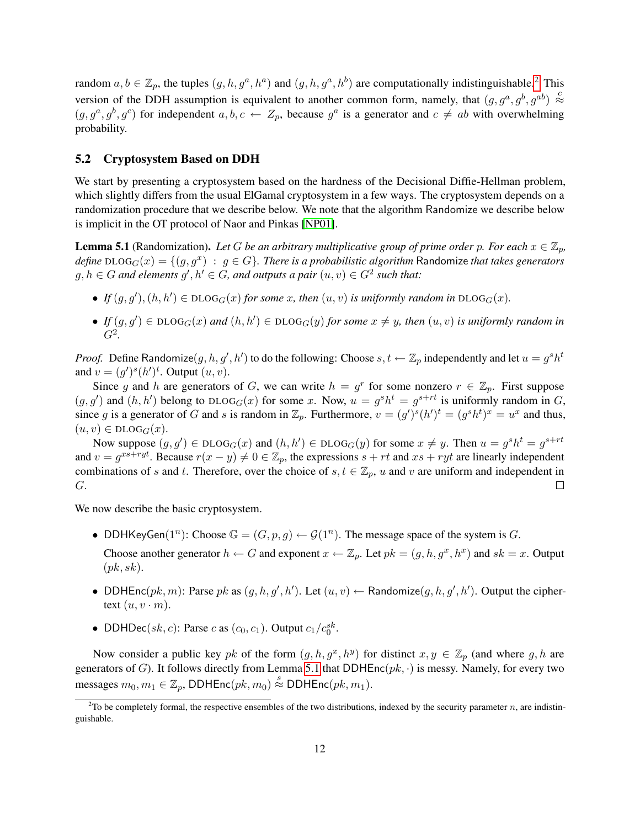random  $a, b \in \mathbb{Z}_p$ , the tuples  $(g, h, g^a, h^a)$  and  $(g, h, g^a, h^b)$  are computationally indistinguishable.<sup>[2](#page-11-0)</sup> This version of the DDH assumption is equivalent to another common form, namely, that  $(g, g^a, g^b, g^{ab}) \stackrel{c}{\approx}$  $(g, g^a, g^b, g^c)$  for independent  $a, b, c \leftarrow Z_p$ , because  $g^a$  is a generator and  $c \neq ab$  with overwhelming probability.

#### 5.2 Cryptosystem Based on DDH

We start by presenting a cryptosystem based on the hardness of the Decisional Diffie-Hellman problem, which slightly differs from the usual ElGamal cryptosystem in a few ways. The cryptosystem depends on a randomization procedure that we describe below. We note that the algorithm Randomize we describe below is implicit in the OT protocol of Naor and Pinkas [\[NP01\]](#page-26-3).

<span id="page-11-1"></span>**Lemma 5.1** (Randomization). Let G be an arbitrary multiplicative group of prime order p. For each  $x \in \mathbb{Z}_p$ ,  $\hat{d}$ efine DLOG $_G(x) = \{ (g,g^x) ~:~ g \in G \}$ . *There is a probabilistic algorithm* Randomize *that takes generators*  $g, h \in G$  and elements  $g', h' \in G$ , and outputs a pair  $(u, v) \in G^2$  such that:

- If  $(g, g')$ ,  $(h, h') \in DLOG_G(x)$  for some x, then  $(u, v)$  is uniformly random in  $DLOG_G(x)$ .
- If  $(g, g') \in DLOG_G(x)$  and  $(h, h') \in DLOG_G(y)$  for some  $x \neq y$ , then  $(u, v)$  is uniformly random in G<sup>2</sup> *.*

*Proof.* Define Randomize $(g, h, g', h')$  to do the following: Choose  $s, t \leftarrow \mathbb{Z}_p$  independently and let  $u = g^s h^t$ and  $v = (g')^s (h')^t$ . Output  $(u, v)$ .

Since g and h are generators of G, we can write  $h = g^r$  for some nonzero  $r \in \mathbb{Z}_p$ . First suppose  $(g, g')$  and  $(h, h')$  belong to DLOG<sub>G</sub> $(x)$  for some x. Now,  $u = g<sup>s</sup>h<sup>t</sup> = g<sup>s+rt</sup>$  is uniformly random in G, since g is a generator of G and s is random in  $\mathbb{Z}_p$ . Furthermore,  $v = (g')^s (h')^t = (g^s h^t)^x = u^x$  and thus,  $(u, v) \in \text{DLOG}_G(x).$ 

Now suppose  $(g, g') \in DLOG_G(x)$  and  $(h, h') \in DLOG_G(y)$  for some  $x \neq y$ . Then  $u = g^s h^t = g^{s+rt}$ and  $v = g^{xs+ryt}$ . Because  $r(x - y) \neq 0 \in \mathbb{Z}_p$ , the expressions  $s + rt$  and  $xs + ryt$  are linearly independent combinations of s and t. Therefore, over the choice of  $s, t \in \mathbb{Z}_p$ , u and v are uniform and independent in G.  $\Box$ 

We now describe the basic cryptosystem.

• DDHKeyGen(1<sup>n</sup>): Choose  $\mathbb{G} = (G, p, g) \leftarrow \mathcal{G}(1^n)$ . The message space of the system is G.

Choose another generator  $h \leftarrow G$  and exponent  $x \leftarrow \mathbb{Z}_p$ . Let  $pk = (g, h, g^x, h^x)$  and  $sk = x$ . Output  $(pk, sk).$ 

- DDHEnc $(pk, m)$ : Parse pk as  $(g, h, g', h')$ . Let  $(u, v) \leftarrow$  Randomize $(g, h, g', h')$ . Output the ciphertext  $(u, v \cdot m)$ .
- DDHDec(sk, c): Parse c as  $(c_0, c_1)$ . Output  $c_1/c_0^{sk}$ .

Now consider a public key pk of the form  $(g, h, g^x, h^y)$  for distinct  $x, y \in \mathbb{Z}_p$  (and where g, h are generators of G). It follows directly from Lemma [5.1](#page-11-1) that DDHEnc( $pk, \cdot$ ) is messy. Namely, for every two messages  $m_0, m_1 \in \mathbb{Z}_p$ , DDHEnc $(pk, m_0) \stackrel{s}{\approx}$  DDHEnc $(pk, m_1)$ .

<span id="page-11-0"></span><sup>&</sup>lt;sup>2</sup>To be completely formal, the respective ensembles of the two distributions, indexed by the security parameter *n*, are indistinguishable.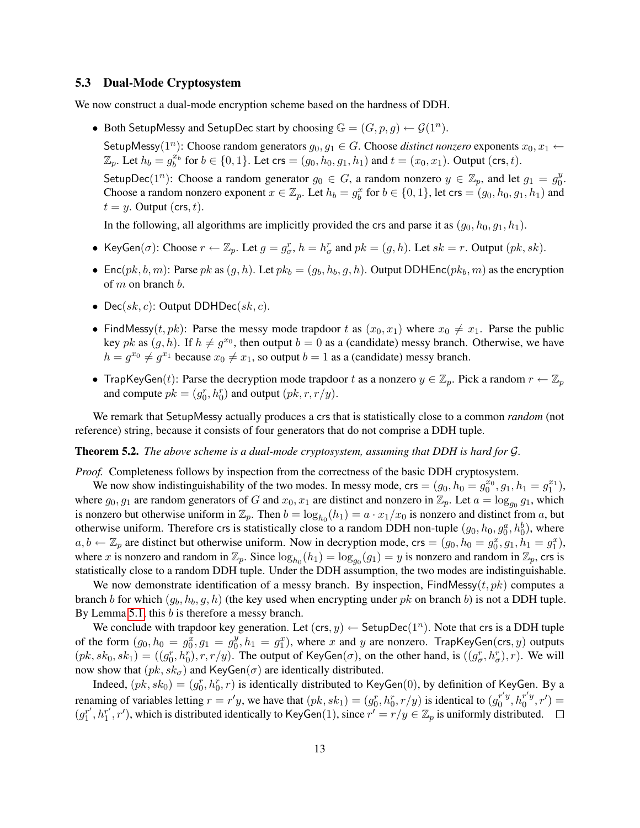### 5.3 Dual-Mode Cryptosystem

We now construct a dual-mode encryption scheme based on the hardness of DDH.

• Both SetupMessy and SetupDec start by choosing  $\mathbb{G} = (G, p, g) \leftarrow \mathcal{G}(1^n)$ .

SetupMessy( $1^n$ ): Choose random generators  $g_0, g_1 \in G$ . Choose *distinct nonzero* exponents  $x_0, x_1 \leftarrow$  $\mathbb{Z}_p$ . Let  $h_b = g_b^{x_b}$  for  $b \in \{0, 1\}$ . Let  $\text{crs} = (g_0, h_0, g_1, h_1)$  and  $t = (x_0, x_1)$ . Output ( $\text{crs}, t$ ). SetupDec $(1^n)$ : Choose a random generator  $g_0 \in G$ , a random nonzero  $y \in \mathbb{Z}_p$ , and let  $g_1 = g_0^y$  $\frac{y}{0}$ . Choose a random nonzero exponent  $x \in \mathbb{Z}_p$ . Let  $h_b = g_b^x$  for  $b \in \{0, 1\}$ , let crs =  $(g_0, h_0, g_1, h_1)$  and  $t = y$ . Output (crs, t).

In the following, all algorithms are implicitly provided the crs and parse it as  $(g_0, h_0, g_1, h_1)$ .

- KeyGen( $\sigma$ ): Choose  $r \leftarrow \mathbb{Z}_p$ . Let  $g = g^r_{\sigma}, h = h^r_{\sigma}$  and  $pk = (g, h)$ . Let  $sk = r$ . Output  $(pk, sk)$ .
- Enc $(pk, b, m)$ : Parse pk as  $(g, h)$ . Let  $pk_b = (g_b, h_b, g, h)$ . Output DDHEnc $(pk_b, m)$  as the encryption of  $m$  on branch  $b$ .
- Dec(sk, c): Output DDHDec(sk, c).
- FindMessy(t, pk): Parse the messy mode trapdoor t as  $(x_0, x_1)$  where  $x_0 \neq x_1$ . Parse the public key pk as  $(g, h)$ . If  $h \neq g^{x_0}$ , then output  $b = 0$  as a (candidate) messy branch. Otherwise, we have  $h = g^{x_0} \neq g^{x_1}$  because  $x_0 \neq x_1$ , so output  $b = 1$  as a (candidate) messy branch.
- TrapKeyGen(t): Parse the decryption mode trapdoor t as a nonzero  $y \in \mathbb{Z}_p$ . Pick a random  $r \leftarrow \mathbb{Z}_p$ and compute  $pk = (g_0^r, h_0^r)$  and output  $(pk, r, r/y)$ .

We remark that SetupMessy actually produces a crs that is statistically close to a common *random* (not reference) string, because it consists of four generators that do not comprise a DDH tuple.

<span id="page-12-0"></span>Theorem 5.2. *The above scheme is a dual-mode cryptosystem, assuming that DDH is hard for* G*.*

*Proof.* Completeness follows by inspection from the correctness of the basic DDH cryptosystem.

We now show indistinguishability of the two modes. In messy mode,  $\text{crs} = (g_0, h_0 = g_0^{x_0}, g_1, h_1 = g_1^{x_1}),$ where  $g_0, g_1$  are random generators of G and  $x_0, x_1$  are distinct and nonzero in  $\mathbb{Z}_p$ . Let  $a = \log_{g_0} g_1$ , which is nonzero but otherwise uniform in  $\mathbb{Z}_p$ . Then  $b = \log_{h_0}(h_1) = a \cdot x_1/x_0$  is nonzero and distinct from a, but otherwise uniform. Therefore crs is statistically close to a random DDH non-tuple  $(g_0, h_0, g_0^a, h_0^b)$ , where  $a, b \leftarrow \mathbb{Z}_p$  are distinct but otherwise uniform. Now in decryption mode, crs =  $(g_0, h_0 = g_0^x, g_1, h_1 = g_1^x)$ , where x is nonzero and random in  $\mathbb{Z}_p$ . Since  $\log_{h_0}(h_1) = \log_{g_0}(g_1) = y$  is nonzero and random in  $\mathbb{Z}_p$ , crs is statistically close to a random DDH tuple. Under the DDH assumption, the two modes are indistinguishable.

We now demonstrate identification of a messy branch. By inspection, FindMessy( $t, pk$ ) computes a branch b for which  $(g_b, h_b, g, h)$  (the key used when encrypting under pk on branch b) is not a DDH tuple. By Lemma [5.1,](#page-11-1) this  $b$  is therefore a messy branch.

We conclude with trapdoor key generation. Let  $(crs, y) \leftarrow$  SetupDec $(1^n)$ . Note that crs is a DDH tuple of the form  $(g_0, h_0 = g_0^x, g_1 = g_0^y)$  $y_0^y$ ,  $h_1 = g_1^x$ ), where x and y are nonzero. TrapKeyGen(crs, y) outputs  $(pk, sk_0, sk_1) = ((g_0^r, h_0^r), r, r/y)$ . The output of KeyGen( $\sigma$ ), on the other hand, is  $((g_\sigma^r, h_\sigma^r), r)$ . We will now show that  $(pk, sk_{\sigma})$  and KeyGen( $\sigma$ ) are identically distributed.

Indeed,  $(pk, sk_0) = (g_0^r, h_0^r, r)$  is identically distributed to KeyGen $(0)$ , by definition of KeyGen. By a renaming of variables letting  $r = r'y$ , we have that  $(pk, sk_1) = (g_0^r, h_0^r, r/y)$  is identical to  $(g_0^{r'y})$  $h_0^{r'y}, h_0^{r'y}$  $_{0}^{r'y}, r') =$  $(g_1^{r'}$  $j'_{1}, h_{1}^{r'}$  $T_1^{r'}, r'$ ), which is distributed identically to KeyGen(1), since  $r' = r/y \in \mathbb{Z}_p$  is uniformly distributed.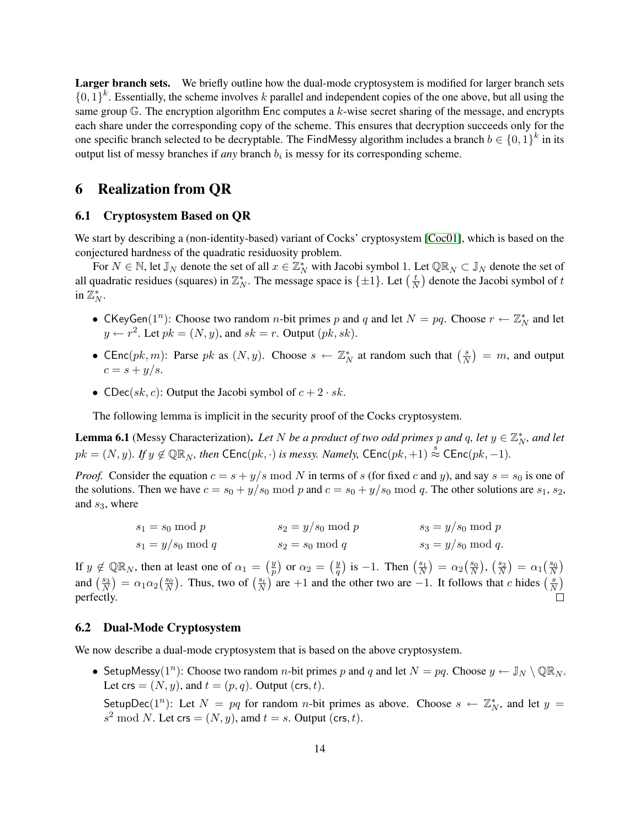Larger branch sets. We briefly outline how the dual-mode cryptosystem is modified for larger branch sets  $\{0,1\}^k$ . Essentially, the scheme involves k parallel and independent copies of the one above, but all using the same group  $\mathbb{G}$ . The encryption algorithm Enc computes a k-wise secret sharing of the message, and encrypts each share under the corresponding copy of the scheme. This ensures that decryption succeeds only for the one specific branch selected to be decryptable. The FindMessy algorithm includes a branch  $b \in \{0,1\}^k$  in its output list of messy branches if *any* branch  $b_i$  is messy for its corresponding scheme.

## <span id="page-13-0"></span>6 Realization from QR

### 6.1 Cryptosystem Based on QR

We start by describing a (non-identity-based) variant of Cocks' cryptosystem [\[Coc01\]](#page-25-8), which is based on the conjectured hardness of the quadratic residuosity problem.

For  $N \in \mathbb{N}$ , let  $\mathbb{J}_N$  denote the set of all  $x \in \mathbb{Z}_N^*$  with Jacobi symbol 1. Let  $\mathbb{QR}_N \subset \mathbb{J}_N$  denote the set of all quadratic residues (squares) in  $\mathbb{Z}_N^*$ . The message space is  $\{\pm 1\}$ . Let  $\left(\frac{t}{N}\right)$  $\frac{t}{N}$ ) denote the Jacobi symbol of  $t$ in  $\mathbb{Z}_N^*$ .

- CKeyGen(1<sup>n</sup>): Choose two random *n*-bit primes p and q and let  $N = pq$ . Choose  $r \leftarrow \mathbb{Z}_N^*$  and let  $y \leftarrow r^2$ . Let  $pk = (N, y)$ , and  $sk = r$ . Output  $(pk, sk)$ .
- CEnc(pk, m): Parse pk as  $(N, y)$ . Choose  $s \leftarrow \mathbb{Z}_N^*$  at random such that  $\left(\frac{s}{N}\right)$  $\left(\frac{s}{N}\right) = m$ , and output  $c = s + y/s.$
- CDec(sk, c): Output the Jacobi symbol of  $c + 2 \cdot sk$ .

The following lemma is implicit in the security proof of the Cocks cryptosystem.

<span id="page-13-1"></span>**Lemma 6.1** (Messy Characterization). Let N be a product of two odd primes p and q, let  $y \in \mathbb{Z}_N^*$ , and let  $pk = (N, y)$ . If  $y \notin \mathbb{QR}_N$ , then  $\mathsf{CEnc}(pk, \cdot)$  is messy. Namely,  $\mathsf{CEnc}(pk, +1) \stackrel{s}{\approx} \mathsf{CEnc}(pk, -1)$ .

*Proof.* Consider the equation  $c = s + y/s \mod N$  in terms of s (for fixed c and y), and say  $s = s_0$  is one of the solutions. Then we have  $c = s_0 + y/s_0 \mod p$  and  $c = s_0 + y/s_0 \mod q$ . The other solutions are  $s_1, s_2$ , and  $s_3$ , where

| $s_1 = s_0 \bmod p$  | $s_2 = y/s_0 \mod p$ | $s_3 = y/s_0 \mod p$  |
|----------------------|----------------------|-----------------------|
| $s_1 = y/s_0 \mod q$ | $s_2 = s_0 \mod q$   | $s_3 = y/s_0 \mod q.$ |

If  $y \notin \mathbb{QR}_N$ , then at least one of  $\alpha_1 = \left(\frac{y}{p}\right)$  $\left(\frac{y}{p}\right)$  or  $\alpha_2 = \left(\frac{y}{q}\right)$  $\left(\frac{y}{q}\right)$  is -1. Then  $\left(\frac{s_1}{N}\right) = \alpha_2\left(\frac{s_0}{N}\right)$ ,  $\left(\frac{s_2}{N}\right) = \alpha_1\left(\frac{s_0}{N}\right)$ and  $\left(\frac{s_3}{N}\right) = \alpha_1 \alpha_2 \left(\frac{s_0}{N}\right)$ . Thus, two of  $\left(\frac{s_i}{N}\right)$  are +1 and the other two are -1. It follows that c hides  $\left(\frac{s_i}{N}\right)$  $\frac{s}{N}$ perfectly. П

#### 6.2 Dual-Mode Cryptosystem

We now describe a dual-mode cryptosystem that is based on the above cryptosystem.

• SetupMessy(1<sup>n</sup>): Choose two random *n*-bit primes p and q and let  $N = pq$ . Choose  $y \leftarrow \mathbb{J}_N \setminus \mathbb{Q} \mathbb{R}_N$ . Let crs =  $(N, y)$ , and  $t = (p, q)$ . Output (crs, t).

SetupDec(1<sup>n</sup>): Let  $N = pq$  for random *n*-bit primes as above. Choose  $s \leftarrow \mathbb{Z}_N^*$ , and let  $y =$  $s^2 \mod N$ . Let crs =  $(N, y)$ , amd  $t = s$ . Output (crs, t).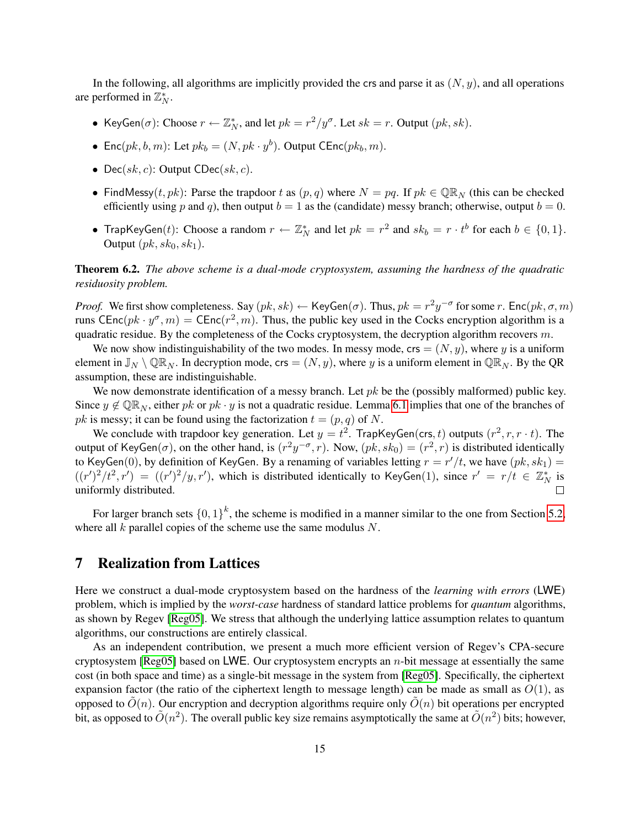In the following, all algorithms are implicitly provided the crs and parse it as  $(N, y)$ , and all operations are performed in  $\mathbb{Z}_N^*$ .

- KeyGen( $\sigma$ ): Choose  $r \leftarrow \mathbb{Z}_N^*$ , and let  $pk = r^2/y^{\sigma}$ . Let  $sk = r$ . Output  $(pk, sk)$ .
- Enc $(pk, b, m)$ : Let  $pk_b = (N, pk \cdot y^b)$ . Output CEnc $(pk_b, m)$ .
- Dec( $sk, c$ ): Output CDec( $sk, c$ ).
- FindMessy(t, pk): Parse the trapdoor t as  $(p, q)$  where  $N = pq$ . If  $pk \in \mathbb{QR}_N$  (this can be checked efficiently using p and q), then output  $b = 1$  as the (candidate) messy branch; otherwise, output  $b = 0$ .
- TrapKeyGen(*t*): Choose a random  $r \leftarrow \mathbb{Z}_N^*$  and let  $pk = r^2$  and  $sk_b = r \cdot t^b$  for each  $b \in \{0, 1\}$ . Output  $(pk, sk_0, sk_1)$ .

Theorem 6.2. *The above scheme is a dual-mode cryptosystem, assuming the hardness of the quadratic residuosity problem.*

*Proof.* We first show completeness. Say  $(pk, sk) \leftarrow \text{KeyGen}(\sigma)$ . Thus,  $pk = r^2y^{-\sigma}$  for some r.  $\text{Enc}(pk, \sigma, m)$ runs CEnc $(pk \cdot y^{\sigma}, m)$  = CEnc $(r^2, m)$ . Thus, the public key used in the Cocks encryption algorithm is a quadratic residue. By the completeness of the Cocks cryptosystem, the decryption algorithm recovers  $m$ .

We now show indistinguishability of the two modes. In messy mode,  $\text{crs} = (N, y)$ , where y is a uniform element in  $\mathbb{J}_N \setminus \mathbb{Q}\mathbb{R}_N$ . In decryption mode, crs =  $(N, y)$ , where y is a uniform element in  $\mathbb{Q}\mathbb{R}_N$ . By the QR assumption, these are indistinguishable.

We now demonstrate identification of a messy branch. Let  $pk$  be the (possibly malformed) public key. Since  $y \notin \mathbb{QR}_N$ , either pk or pk · y is not a quadratic residue. Lemma [6.1](#page-13-1) implies that one of the branches of pk is messy; it can be found using the factorization  $t = (p, q)$  of N.

We conclude with trapdoor key generation. Let  $y = t^2$ . TrapKeyGen(crs, t) outputs  $(r^2, r, r \cdot t)$ . The output of KeyGen( $\sigma$ ), on the other hand, is  $(r^2y^{-\sigma}, r)$ . Now,  $(pk, sk_0) = (r^2, r)$  is distributed identically to KeyGen(0), by definition of KeyGen. By a renaming of variables letting  $r = r'/t$ , we have  $(pk, sk_1) =$  $((r')^2/t^2, r') = ((r')^2/y, r')$ , which is distributed identically to KeyGen(1), since  $r' = r/t \in \mathbb{Z}_N^*$  is uniformly distributed.  $\Box$ 

For larger branch sets  $\{0,1\}^k$ , the scheme is modified in a manner similar to the one from Section [5.2,](#page-12-0) where all  $k$  parallel copies of the scheme use the same modulus  $N$ .

## <span id="page-14-0"></span>7 Realization from Lattices

Here we construct a dual-mode cryptosystem based on the hardness of the *learning with errors* (LWE) problem, which is implied by the *worst-case* hardness of standard lattice problems for *quantum* algorithms, as shown by Regev [\[Reg05\]](#page-27-2). We stress that although the underlying lattice assumption relates to quantum algorithms, our constructions are entirely classical.

As an independent contribution, we present a much more efficient version of Regev's CPA-secure cryptosystem [\[Reg05\]](#page-27-2) based on LWE. Our cryptosystem encrypts an  $n$ -bit message at essentially the same cost (in both space and time) as a single-bit message in the system from [\[Reg05\]](#page-27-2). Specifically, the ciphertext expansion factor (the ratio of the ciphertext length to message length) can be made as small as  $O(1)$ , as opposed to  $O(n)$ . Our encryption and decryption algorithms require only  $O(n)$  bit operations per encrypted bit, as opposed to  $\tilde{O}(n^2)$ . The overall public key size remains asymptotically the same at  $\tilde{O}(n^2)$  bits; however,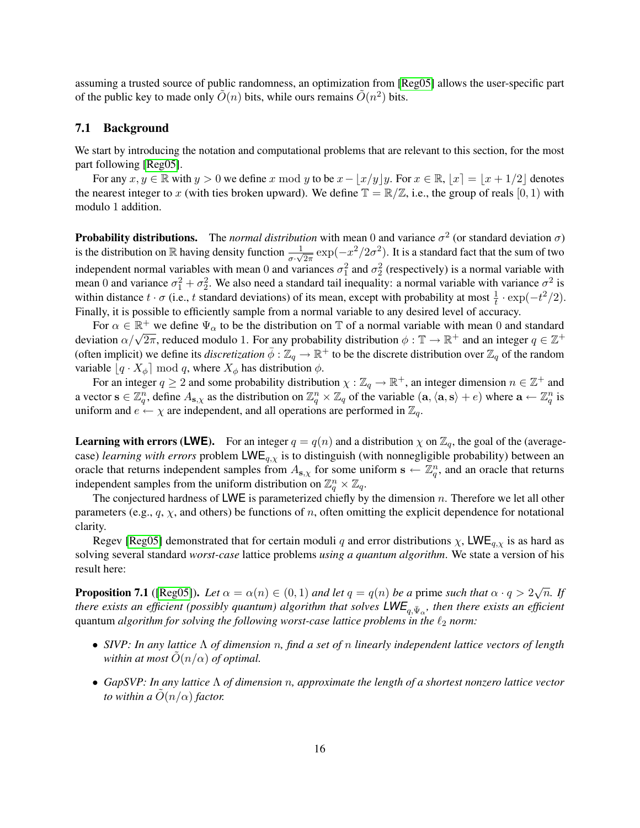assuming a trusted source of public randomness, an optimization from [\[Reg05\]](#page-27-2) allows the user-specific part of the public key to made only  $\tilde{O}(n)$  bits, while ours remains  $\tilde{O}(n^2)$  bits.

### 7.1 Background

We start by introducing the notation and computational problems that are relevant to this section, for the most part following [\[Reg05\]](#page-27-2).

For any  $x, y \in \mathbb{R}$  with  $y > 0$  we define x mod y to be  $x - \lfloor x/y \rfloor y$ . For  $x \in \mathbb{R}$ ,  $|x| = \lfloor x + 1/2 \rfloor$  denotes the nearest integer to x (with ties broken upward). We define  $\mathbb{T} = \mathbb{R}/\mathbb{Z}$ , i.e., the group of reals  $[0, 1)$  with modulo 1 addition.

**Probability distributions.** The *normal distribution* with mean 0 and variance  $\sigma^2$  (or standard deviation  $\sigma$ ) is the distribution on  $\R$  having density function  $\frac{1}{\sigma \cdot \sqrt{2\pi}} \exp(-x^2/2\sigma^2)$ . It is a standard fact that the sum of two independent normal variables with mean 0 and variances  $\sigma_1^2$  and  $\sigma_2^2$  (respectively) is a normal variable with mean 0 and variance  $\sigma_1^2 + \sigma_2^2$ . We also need a standard tail inequality: a normal variable with variance  $\sigma^2$  is within distance  $t \cdot \sigma$  (i.e., t standard deviations) of its mean, except with probability at most  $\frac{1}{t} \cdot \exp(-t^2/2)$ . Finally, it is possible to efficiently sample from a normal variable to any desired level of accuracy.

For  $\alpha \in \mathbb{R}^+$  we define  $\Psi_\alpha$  to be the distribution on T of a normal variable with mean 0 and standard For  $\alpha \in \mathbb{R}^+$  we define  $\Psi_{\alpha}$  to be the distribution on  $\mathbb{I}$  or a normal variable with mean 0 and standard deviation  $\alpha/\sqrt{2\pi}$ , reduced modulo 1. For any probability distribution  $\phi : \mathbb{T} \to \mathbb{R}^+$  and an (often implicit) we define its *discretization*  $\bar{\phi}$  :  $\mathbb{Z}_q \to \mathbb{R}^+$  to be the discrete distribution over  $\mathbb{Z}_q$  of the random variable  $\left[q \cdot X_{\phi}\right] \mod q$ , where  $X_{\phi}$  has distribution  $\phi$ .

For an integer  $q \ge 2$  and some probability distribution  $\chi : \mathbb{Z}_q \to \mathbb{R}^+$ , an integer dimension  $n \in \mathbb{Z}^+$  and a vector  $\mathbf{s} \in \mathbb{Z}_q^n$ , define  $A_{\mathbf{s},\chi}$  as the distribution on  $\mathbb{Z}_q^n \times \mathbb{Z}_q$  of the variable  $(\mathbf{a},\langle \mathbf{a},\mathbf{s}\rangle + e)$  where  $\mathbf{a} \leftarrow \mathbb{Z}_q^n$  is uniform and  $e \leftarrow \chi$  are independent, and all operations are performed in  $\mathbb{Z}_q$ .

**Learning with errors (LWE).** For an integer  $q = q(n)$  and a distribution  $\chi$  on  $\mathbb{Z}_q$ , the goal of the (averagecase) *learning with errors* problem LWEq,χ is to distinguish (with nonnegligible probability) between an oracle that returns independent samples from  $A_{s,\chi}$  for some uniform  $s \leftarrow \mathbb{Z}_q^n$ , and an oracle that returns independent samples from the uniform distribution on  $\mathbb{Z}_q^n\times\mathbb{Z}_q$ .

The conjectured hardness of LWE is parameterized chiefly by the dimension  $n$ . Therefore we let all other parameters (e.g.,  $q$ ,  $\chi$ , and others) be functions of n, often omitting the explicit dependence for notational clarity.

Regev [\[Reg05\]](#page-27-2) demonstrated that for certain moduli q and error distributions  $\chi$ , LWE<sub>q, $\chi$ </sub> is as hard as solving several standard *worst-case* lattice problems *using a quantum algorithm*. We state a version of his result here:

<span id="page-15-0"></span>**Proposition 7.1** ([\[Reg05\]](#page-27-2)). Let  $\alpha = \alpha(n) \in (0,1)$  and let  $q = q(n)$  be a prime such that  $\alpha \cdot q > 2\sqrt{n}$ . If *there exists an efficient (possibly quantum) algorithm that solves*  $\mathsf{LWE}_{q,\bar{\Psi}_\alpha}$ *, then there exists an efficient* quantum *algorithm for solving the following worst-case lattice problems in the*  $\ell_2$  *norm:* 

- *SIVP: In any lattice* Λ *of dimension* n*, find a set of* n *linearly independent lattice vectors of length within at most*  $O(n/\alpha)$  *of optimal.*
- *GapSVP: In any lattice* Λ *of dimension* n*, approximate the length of a shortest nonzero lattice vector to within a*  $O(n/\alpha)$  *factor.*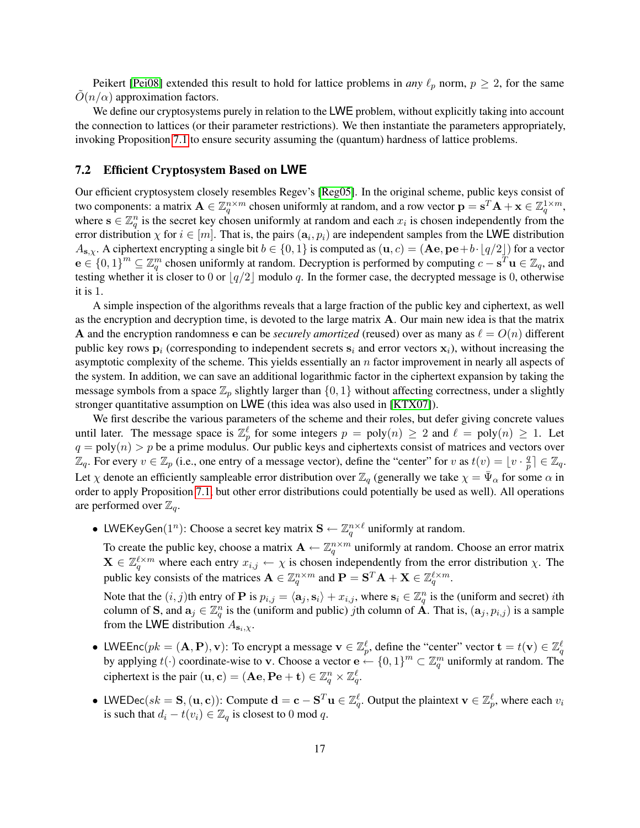Peikert [\[Pei08\]](#page-26-15) extended this result to hold for lattice problems in *any*  $\ell_p$  norm,  $p \ge 2$ , for the same  $O(n/\alpha)$  approximation factors.

We define our cryptosystems purely in relation to the LWE problem, without explicitly taking into account the connection to lattices (or their parameter restrictions). We then instantiate the parameters appropriately, invoking Proposition [7.1](#page-15-0) to ensure security assuming the (quantum) hardness of lattice problems.

#### <span id="page-16-0"></span>7.2 Efficient Cryptosystem Based on **LWE**

Our efficient cryptosystem closely resembles Regev's [\[Reg05\]](#page-27-2). In the original scheme, public keys consist of two components: a matrix  $\mathbf{A} \in \mathbb{Z}_q^{n \times m}$  chosen uniformly at random, and a row vector  $\mathbf{p} = \mathbf{s}^T \mathbf{A} + \mathbf{x} \in \mathbb{Z}_q^{1 \times m}$ , where  $s \in \mathbb{Z}_q^n$  is the secret key chosen uniformly at random and each  $x_i$  is chosen independently from the error distribution  $\chi$  for  $i \in [m]$ . That is, the pairs  $(a_i, p_i)$  are independent samples from the LWE distribution  $A_{s,x}$ . A ciphertext encrypting a single bit  $b \in \{0,1\}$  is computed as  $(\mathbf{u}, c) = (\mathbf{A}\mathbf{e}, \mathbf{p}\mathbf{e} + b \cdot (q/2))$  for a vector  $e \in \{0,1\}^m \subseteq \mathbb{Z}_q^m$  chosen uniformly at random. Decryption is performed by computing  $c - s^T \mathbf{u} \in \mathbb{Z}_q$ , and testing whether it is closer to 0 or  $|q/2|$  modulo q. In the former case, the decrypted message is 0, otherwise it is 1.

A simple inspection of the algorithms reveals that a large fraction of the public key and ciphertext, as well as the encryption and decryption time, is devoted to the large matrix  $A$ . Our main new idea is that the matrix A and the encryption randomness e can be *securely amortized* (reused) over as many as  $\ell = O(n)$  different public key rows  $p_i$  (corresponding to independent secrets  $s_i$  and error vectors  $x_i$ ), without increasing the asymptotic complexity of the scheme. This yields essentially an  $n$  factor improvement in nearly all aspects of the system. In addition, we can save an additional logarithmic factor in the ciphertext expansion by taking the message symbols from a space  $\mathbb{Z}_p$  slightly larger than  $\{0, 1\}$  without affecting correctness, under a slightly stronger quantitative assumption on LWE (this idea was also used in [\[KTX07\]](#page-26-16)).

We first describe the various parameters of the scheme and their roles, but defer giving concrete values until later. The message space is  $\mathbb{Z}_p^{\ell}$  for some integers  $p = poly(n) \ge 2$  and  $\ell = poly(n) \ge 1$ . Let  $q = \text{poly}(n) > p$  be a prime modulus. Our public keys and ciphertexts consist of matrices and vectors over  $\mathbb{Z}_q$ . For every  $v \in \mathbb{Z}_p$  (i.e., one entry of a message vector), define the "center" for v as  $t(v) = \lfloor v \cdot \frac{q}{n} \rfloor$  $\frac{q}{p}$ ]  $\in \mathbb{Z}_q$ . Let  $\chi$  denote an efficiently sampleable error distribution over  $\mathbb{Z}_q$  (generally we take  $\chi = \bar{\Psi}_{\alpha}$  for some  $\alpha$  in order to apply Proposition [7.1,](#page-15-0) but other error distributions could potentially be used as well). All operations are performed over  $\mathbb{Z}_q$ .

• LWEKeyGen $(1^n)$ : Choose a secret key matrix  $\mathbf{S} \leftarrow \mathbb{Z}_q^{n \times \ell}$  uniformly at random.

To create the public key, choose a matrix  $\mathbf{A} \leftarrow \mathbb{Z}_q^{n \times m}$  uniformly at random. Choose an error matrix  $\mathbf{X} \in \mathbb{Z}_q^{\ell \times m}$  where each entry  $x_{i,j} \leftarrow \chi$  is chosen independently from the error distribution  $\chi$ . The public key consists of the matrices  $\mathbf{A} \in \mathbb{Z}_q^{n \times m}$  and  $\mathbf{P} = \mathbf{S}^T \mathbf{A} + \mathbf{X} \in \mathbb{Z}_q^{\ell \times m}$ .

Note that the  $(i, j)$ th entry of **P** is  $p_{i,j} = \langle \mathbf{a}_j, \mathbf{s}_i \rangle + x_{i,j}$ , where  $\mathbf{s}_i \in \mathbb{Z}_q^n$  is the (uniform and secret) *i*th column of S, and  $a_j \in \mathbb{Z}_q^n$  is the (uniform and public) jth column of  $\overrightarrow{A}$ . That is,  $(a_j, p_{i,j})$  is a sample from the LWE distribution  $A_{s_i,\chi}$ .

- LWEEnc $(pk = (\mathbf{A}, \mathbf{P}), \mathbf{v})$ : To encrypt a message  $\mathbf{v} \in \mathbb{Z}_p^{\ell}$ , define the "center" vector  $\mathbf{t} = t(\mathbf{v}) \in \mathbb{Z}_q^{\ell}$ by applying  $t(\cdot)$  coordinate-wise to v. Choose a vector  $\mathbf{e} \leftarrow \{0,1\}^m \subset \mathbb{Z}_q^m$  uniformly at random. The ciphertext is the pair  $(\mathbf{u}, \mathbf{c}) = (\mathbf{A}\mathbf{e}, \mathbf{P}\mathbf{e} + \mathbf{t}) \in \mathbb{Z}_q^n \times \mathbb{Z}_q^\ell$ .
- LWEDec( $sk = S$ ,  $(u, c)$ ): Compute  $d = c S^T u \in \mathbb{Z}_q^{\ell}$ . Output the plaintext  $v \in \mathbb{Z}_p^{\ell}$ , where each  $v_i$ is such that  $d_i - t(v_i) \in \mathbb{Z}_q$  is closest to 0 mod q.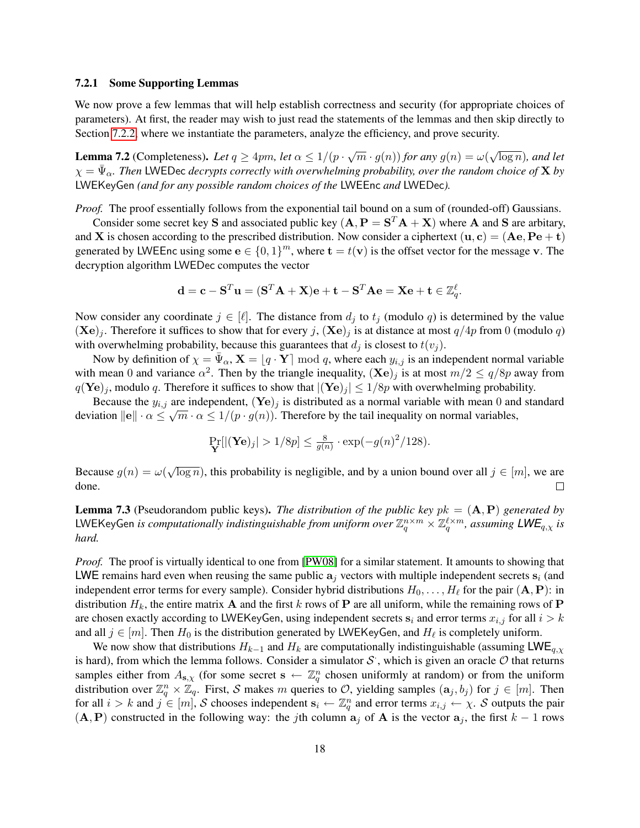#### 7.2.1 Some Supporting Lemmas

We now prove a few lemmas that will help establish correctness and security (for appropriate choices of parameters). At first, the reader may wish to just read the statements of the lemmas and then skip directly to Section [7.2.2,](#page-19-0) where we instantiate the parameters, analyze the efficiency, and prove security.

<span id="page-17-0"></span>**Lemma 7.2** (Completeness). Let  $q \ge 4pm$ , let  $\alpha \le 1/(p \cdot \sqrt{m} \cdot g(n))$  for any  $g(n) = \omega(n)$ √  $\overline{\log n}$ *), and let*  $\chi = \bar{\Psi}_{\alpha}$ . Then LWEDec *decrypts correctly with overwhelming probability, over the random choice of* **X** *by* LWEKeyGen *(and for any possible random choices of the* LWEEnc *and* LWEDec*).*

*Proof.* The proof essentially follows from the exponential tail bound on a sum of (rounded-off) Gaussians.

Consider some secret key S and associated public key  $(A, P = S^T A + X)$  where A and S are arbitary, and **X** is chosen according to the prescribed distribution. Now consider a ciphertext  $(\mathbf{u}, \mathbf{c}) = (\mathbf{A}\mathbf{e}, \mathbf{P}\mathbf{e} + \mathbf{t})$ generated by LWEEnc using some  $\mathbf{e} \in \{0,1\}^m$ , where  $\mathbf{t} = t(\mathbf{v})$  is the offset vector for the message v. The decryption algorithm LWEDec computes the vector

$$
\mathbf{d} = \mathbf{c} - \mathbf{S}^T \mathbf{u} = (\mathbf{S}^T \mathbf{A} + \mathbf{X})\mathbf{e} + \mathbf{t} - \mathbf{S}^T \mathbf{A} \mathbf{e} = \mathbf{X} \mathbf{e} + \mathbf{t} \in \mathbb{Z}_q^{\ell}.
$$

Now consider any coordinate  $j \in [\ell]$ . The distance from  $d_j$  to  $t_j$  (modulo q) is determined by the value  $(Xe)<sub>j</sub>$ . Therefore it suffices to show that for every j,  $(Xe)<sub>j</sub>$  is at distance at most  $q/4p$  from 0 (modulo q) with overwhelming probability, because this guarantees that  $d_j$  is closest to  $t(v_j)$ .

Now by definition of  $\chi = \bar{\Psi}_{\alpha}$ ,  $\mathbf{X} = [q \cdot \mathbf{Y}] \bmod q$ , where each  $y_{i,j}$  is an independent normal variable with mean 0 and variance  $\alpha^2$ . Then by the triangle inequality,  $(\mathbf{X}\mathbf{e})_j$  is at most  $m/2 \le q/8p$  away from  $q(\text{Ye})_i$ , modulo q. Therefore it suffices to show that  $|(\text{Ye})_i| \leq 1/8p$  with overwhelming probability.

Because the  $y_{i,j}$  are independent,  $(\mathbf{Ye})_j$  is distributed as a normal variable with mean 0 and standard deviation  $\|\mathbf{e}\| \cdot \alpha \leq \sqrt{m} \cdot \alpha \leq 1/(p \cdot g(n))$ . Therefore by the tail inequality on normal variables,

$$
\Pr_{\mathbf{Y}}[|(\mathbf{Ye})_j| > 1/8p] \le \frac{8}{g(n)} \cdot \exp(-g(n)^2/128).
$$

√ Because  $g(n) = \omega(n)$  $\overline{\log n}$ ), this probability is negligible, and by a union bound over all  $j \in [m]$ , we are done.  $\Box$ 

<span id="page-17-1"></span>Lemma 7.3 (Pseudorandom public keys). *The distribution of the public key* pk = (A, P) *generated by* LWEKeyGen *is computationally indistinguishable from uniform over*  $\Z_q^{n\times m}\times\Z_q^{\ell\times m}$ *, assuming*  $\mathsf{LWE}_{q,\chi}$  *is hard.*

*Proof.* The proof is virtually identical to one from [\[PW08\]](#page-26-7) for a similar statement. It amounts to showing that LWE remains hard even when reusing the same public  $a_i$  vectors with multiple independent secrets  $s_i$  (and independent error terms for every sample). Consider hybrid distributions  $H_0, \ldots, H_\ell$  for the pair  $({\bf A}, {\bf P})$ : in distribution  $H_k$ , the entire matrix **A** and the first k rows of **P** are all uniform, while the remaining rows of **P** are chosen exactly according to LWEKeyGen, using independent secrets  $s_i$  and error terms  $x_{i,j}$  for all  $i > k$ and all  $j \in [m]$ . Then  $H_0$  is the distribution generated by LWEKeyGen, and  $H_\ell$  is completely uniform.

We now show that distributions  $H_{k-1}$  and  $H_k$  are computationally indistinguishable (assuming LWE<sub>q, $\chi$ </sub>) is hard), from which the lemma follows. Consider a simulator  $S$ , which is given an oracle  $O$  that returns samples either from  $A_{s,\chi}$  (for some secret  $s \leftarrow \mathbb{Z}_q^n$  chosen uniformly at random) or from the uniform distribution over  $\mathbb{Z}_q^n\times\mathbb{Z}_q$ . First, S makes m queries to O, yielding samples  $(a_j,b_j)$  for  $j\in[m]$ . Then for all  $i > k$  and  $j \in [m]$ , S chooses independent  $\mathbf{s}_i \leftarrow \mathbb{Z}_q^n$  and error terms  $x_{i,j} \leftarrow \chi$ . S outputs the pair  $(A, P)$  constructed in the following way: the jth column  $a_j$  of A is the vector  $a_j$ , the first  $k - 1$  rows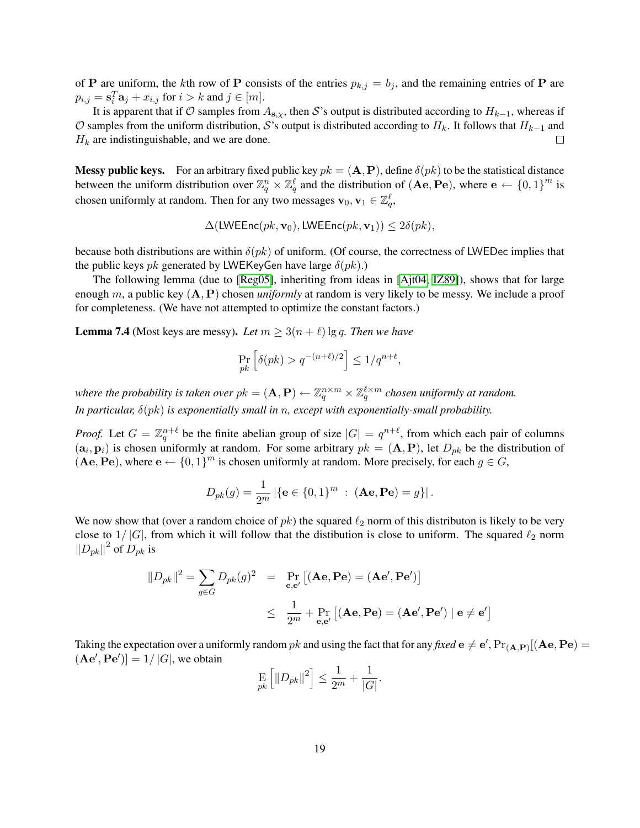of P are uniform, the kth row of P consists of the entries  $p_{k,j} = b_j$ , and the remaining entries of P are  $p_{i,j} = \mathbf{s}_i^T \mathbf{a}_j + x_{i,j}$  for  $i > k$  and  $j \in [m]$ .

It is apparent that if  $\mathcal O$  samples from  $A_{s,x}$ , then S's output is distributed according to  $H_{k-1}$ , whereas if O samples from the uniform distribution, S's output is distributed according to  $H_k$ . It follows that  $H_{k-1}$  and  $H_k$  are indistinguishable, and we are done.  $\Box$ 

**Messy public keys.** For an arbitrary fixed public key  $pk = (\mathbf{A}, \mathbf{P})$ , define  $\delta(pk)$  to be the statistical distance between the uniform distribution over  $\mathbb{Z}_q^n \times \mathbb{Z}_q^\ell$  and the distribution of  $(Ae, Pe)$ , where  $e \leftarrow \{0,1\}^m$  is chosen uniformly at random. Then for any two messages  $\mathbf{v}_0, \mathbf{v}_1 \in \mathbb{Z}_q^{\ell}$ ,

$$
\Delta(\textsf{LWEEnc}(pk, \mathbf{v}_0), \textsf{LWEEnc}(pk, \mathbf{v}_1)) \leq 2\delta(pk),
$$

because both distributions are within  $\delta(pk)$  of uniform. (Of course, the correctness of LWEDec implies that the public keys  $pk$  generated by LWEKeyGen have large  $\delta(pk)$ .)

The following lemma (due to [\[Reg05\]](#page-27-2), inheriting from ideas in [\[Ajt04,](#page-25-4) [IZ89\]](#page-26-17)), shows that for large enough m, a public key (A, P) chosen *uniformly* at random is very likely to be messy. We include a proof for completeness. (We have not attempted to optimize the constant factors.)

<span id="page-18-0"></span>**Lemma 7.4** (Most keys are messy). Let  $m \geq 3(n + \ell) \lg q$ . Then we have

$$
\Pr_{pk} \left[ \delta(pk) > q^{-(n+\ell)/2} \right] \le 1/q^{n+\ell},
$$

where the probability is taken over  $pk = (\mathbf{A}, \mathbf{P}) \leftarrow \mathbb{Z}_q^{n \times m} \times \mathbb{Z}_q^{\ell \times m}$  chosen uniformly at random. *In particular,* δ(pk) *is exponentially small in* n*, except with exponentially-small probability.*

*Proof.* Let  $G = \mathbb{Z}_q^{n+\ell}$  be the finite abelian group of size  $|G| = q^{n+\ell}$ , from which each pair of columns  $(a_i, p_i)$  is chosen uniformly at random. For some arbitrary  $pk = (\mathbf{A}, \mathbf{P})$ , let  $D_{pk}$  be the distribution of  $($ **Ae**, **Pe** $)$ , where  $\mathbf{e} \leftarrow \{0,1\}^m$  is chosen uniformly at random. More precisely, for each  $g \in G$ ,

$$
D_{pk}(g) = \frac{1}{2^m} |\{e \in \{0,1\}^m : (Ae, Pe) = g\}|.
$$

We now show that (over a random choice of  $pk$ ) the squared  $\ell_2$  norm of this distributon is likely to be very close to  $1/|G|$ , from which it will follow that the distibution is close to uniform. The squared  $\ell_2$  norm  $||D_{pk}||^2$  of  $D_{pk}$  is

$$
||D_{pk}||^2 = \sum_{g \in G} D_{pk}(g)^2 = \Pr_{\mathbf{e},\mathbf{e}'} [(\mathbf{A}\mathbf{e}, \mathbf{P}\mathbf{e}) = (\mathbf{A}\mathbf{e}', \mathbf{P}\mathbf{e}')] \leq \frac{1}{2^m} + \Pr_{\mathbf{e},\mathbf{e}'} [(\mathbf{A}\mathbf{e}, \mathbf{P}\mathbf{e}) = (\mathbf{A}\mathbf{e}', \mathbf{P}\mathbf{e}') | \mathbf{e} \neq \mathbf{e}']
$$

Taking the expectation over a uniformly random  $pk$  and using the fact that for any *fixed*  $e \neq e'$ ,  $Pr_{(A,P)}[(Ae, Pe) =$  $(**Ae**', **Pe**')] = 1/|G|$ , we obtain

$$
\mathop{\rm E}_{pk} \left[ \|D_{pk}\|^2 \right] \le \frac{1}{2^m} + \frac{1}{|G|}.
$$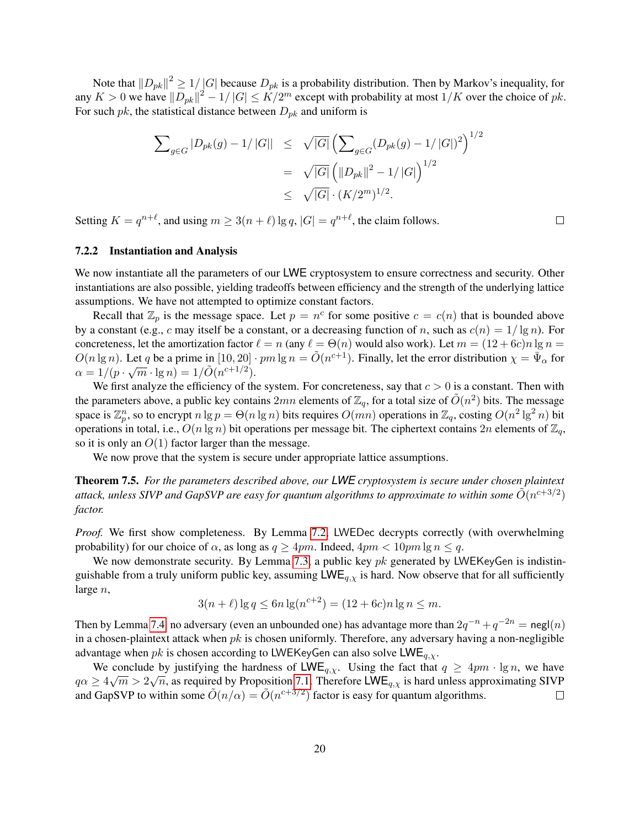Note that  $||D_{pk}||^2 \ge 1/|G|$  because  $D_{pk}$  is a probability distribution. Then by Markov's inequality, for any  $K > 0$  we have  $||D_{pk}||^2 - 1/|G| \leq K/2^m$  except with probability at most  $1/K$  over the choice of  $pk$ . For such pk, the statistical distance between  $D_{pk}$  and uniform is

$$
\sum_{g \in G} |D_{pk}(g) - 1| |G|| \leq \sqrt{|G|} \left( \sum_{g \in G} (D_{pk}(g) - 1/|G|)^2 \right)^{1/2}
$$
  
=  $\sqrt{|G|} \left( ||D_{pk}||^2 - 1/|G| \right)^{1/2}$   
 $\leq \sqrt{|G|} \cdot (K/2^m)^{1/2}.$ 

Setting  $K = q^{n+\ell}$ , and using  $m \geq 3(n+\ell) \lg q$ ,  $|G| = q^{n+\ell}$ , the claim follows.

#### <span id="page-19-0"></span>7.2.2 Instantiation and Analysis

We now instantiate all the parameters of our LWE cryptosystem to ensure correctness and security. Other instantiations are also possible, yielding tradeoffs between efficiency and the strength of the underlying lattice assumptions. We have not attempted to optimize constant factors.

Recall that  $\mathbb{Z}_p$  is the message space. Let  $p = n^c$  for some positive  $c = c(n)$  that is bounded above by a constant (e.g., c may itself be a constant, or a decreasing function of n, such as  $c(n) = 1/\lg n$ ). For concreteness, let the amortization factor  $\ell = n$  (any  $\ell = \Theta(n)$  would also work). Let  $m = (12 + 6c)n \lg n =$  $O(n \lg n)$ . Let q be a prime in  $[10, 20] \cdot pm \lg n = \tilde{O}(n^{c+1})$ . Finally, let the error distribution  $\chi = \bar{\Psi}_{\alpha}$  for  $\alpha = 1/(p \cdot \sqrt{m} \cdot \lg n) = 1/\tilde{O}(n^{c+1/2}).$ 

We first analyze the efficiency of the system. For concreteness, say that  $c > 0$  is a constant. Then with the parameters above, a public key contains  $2mn$  elements of  $\mathbb{Z}_q$ , for a total size of  $\tilde{O}(n^2)$  bits. The message space is  $\mathbb{Z}_p^n$ , so to encrypt  $n \lg p = \Theta(n \lg n)$  bits requires  $\widehat{O}(mn)$  operations in  $\mathbb{Z}_q$ , costing  $\widehat{O}(n^2 \lg^2 n)$  bit operations in total, i.e.,  $O(n \lg n)$  bit operations per message bit. The ciphertext contains  $2n$  elements of  $\mathbb{Z}_q$ , so it is only an  $O(1)$  factor larger than the message.

We now prove that the system is secure under appropriate lattice assumptions.

Theorem 7.5. *For the parameters described above, our LWE cryptosystem is secure under chosen plaintext* attack, unless SIVP and GapSVP are easy for quantum algorithms to approximate to within some  $\tilde{O}(n^{c+3/2})$ *factor.*

*Proof.* We first show completeness. By Lemma [7.2,](#page-17-0) LWEDec decrypts correctly (with overwhelming probability) for our choice of  $\alpha$ , as long as  $q \ge 4pm$ . Indeed,  $4pm < 10pm \lg n \le q$ .

We now demonstrate security. By Lemma [7.3,](#page-17-1) a public key  $pk$  generated by LWEKeyGen is indistinguishable from a truly uniform public key, assuming  $LWE_{q,\chi}$  is hard. Now observe that for all sufficiently large n,

$$
3(n+\ell)\lg q \le 6n\lg(n^{c+2}) = (12+6c)n\lg n \le m.
$$

Then by Lemma [7.4,](#page-18-0) no adversary (even an unbounded one) has advantage more than  $2q^{-n} + q^{-2n} = \mathsf{negl}(n)$ in a chosen-plaintext attack when  $pk$  is chosen uniformly. Therefore, any adversary having a non-negligible advantage when pk is chosen according to LWEKeyGen can also solve  $LWE_{q, \chi}$ .

We conclude by justifying the hardness of  $\textsf{LWE}_{q,\chi}$ . Using the fact that  $q \ge 4pm \cdot \lg n$ , we have  $q\alpha \ge 4\sqrt{m} > 2\sqrt{n}$ , as required by Proposition [7.1.](#page-15-0) Therefore LWE<sub>q,X</sub> is hard unless approximating SIVP and GapSVP to within some  $\tilde{O}(n/\alpha) = \tilde{O}(n^{c+3/2})$  factor is easy for quantum algorithms.  $\Box$ 

 $\Box$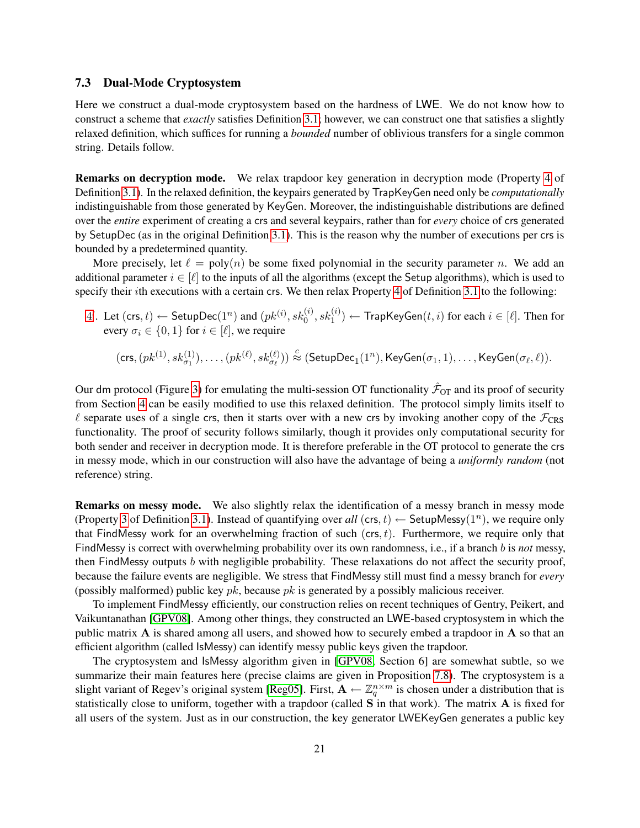### 7.3 Dual-Mode Cryptosystem

Here we construct a dual-mode cryptosystem based on the hardness of LWE. We do not know how to construct a scheme that *exactly* satisfies Definition [3.1;](#page-6-0) however, we can construct one that satisfies a slightly relaxed definition, which suffices for running a *bounded* number of oblivious transfers for a single common string. Details follow.

Remarks on decryption mode. We relax trapdoor key generation in decryption mode (Property [4](#page-7-0) of Definition [3.1\)](#page-6-0). In the relaxed definition, the keypairs generated by TrapKeyGen need only be *computationally* indistinguishable from those generated by KeyGen. Moreover, the indistinguishable distributions are defined over the *entire* experiment of creating a crs and several keypairs, rather than for *every* choice of crs generated by SetupDec (as in the original Definition [3.1\)](#page-6-0). This is the reason why the number of executions per crs is bounded by a predetermined quantity.

More precisely, let  $\ell = \text{poly}(n)$  be some fixed polynomial in the security parameter n. We add an additional parameter  $i \in [\ell]$  to the inputs of all the algorithms (except the Setup algorithms), which is used to specify their *i*th executions with a certain crs. We then relax Property [4](#page-7-0) of Definition [3.1](#page-6-0) to the following:

 $4'.$  $4'.$  Let  $(\mathsf{crs},t) \leftarrow \mathsf{SetupDec}(1^n)$  and  $(pk^{(i)},sk^{(i)}_0,sk^{(i)}_1) \leftarrow \mathsf{TrapKeyGen}(t,i)$  for each  $i \in [\ell].$  Then for every  $\sigma_i \in \{0, 1\}$  for  $i \in [\ell]$ , we require

$$
(\mathsf{crs},(pk^{(1)},sk^{(1)}_{\sigma_1}),\dots,(pk^{(\ell)},sk^{(\ell)}_{\sigma_\ell}))\stackrel{c}{\approx} (\mathsf{SetupDec}_1(1^n),\mathsf{KeyGen}(\sigma_1,1),\dots,\mathsf{KeyGen}(\sigma_\ell,\ell)).
$$

Our dm protocol (Figure [3\)](#page-8-0) for emulating the multi-session OT functionality  $\hat{\mathcal{F}}_{OT}$  and its proof of security from Section [4](#page-7-1) can be easily modified to use this relaxed definition. The protocol simply limits itself to  $\ell$  separate uses of a single crs, then it starts over with a new crs by invoking another copy of the  $\mathcal{F}_{CRS}$ functionality. The proof of security follows similarly, though it provides only computational security for both sender and receiver in decryption mode. It is therefore preferable in the OT protocol to generate the crs in messy mode, which in our construction will also have the advantage of being a *uniformly random* (not reference) string.

Remarks on messy mode. We also slightly relax the identification of a messy branch in messy mode (Property [3](#page-7-2) of Definition [3.1\)](#page-6-0). Instead of quantifying over all  $(crs, t) \leftarrow$  SetupMessy $(1^n)$ , we require only that FindMessy work for an overwhelming fraction of such  $(crs, t)$ . Furthermore, we require only that FindMessy is correct with overwhelming probability over its own randomness, i.e., if a branch b is *not* messy, then FindMessy outputs b with negligible probability. These relaxations do not affect the security proof, because the failure events are negligible. We stress that FindMessy still must find a messy branch for *every* (possibly malformed) public key  $pk$ , because  $pk$  is generated by a possibly malicious receiver.

To implement FindMessy efficiently, our construction relies on recent techniques of Gentry, Peikert, and Vaikuntanathan [\[GPV08\]](#page-26-8). Among other things, they constructed an LWE-based cryptosystem in which the public matrix A is shared among all users, and showed how to securely embed a trapdoor in A so that an efficient algorithm (called IsMessy) can identify messy public keys given the trapdoor.

The cryptosystem and IsMessy algorithm given in [\[GPV08,](#page-26-8) Section 6] are somewhat subtle, so we summarize their main features here (precise claims are given in Proposition [7.8\)](#page-23-0). The cryptosystem is a slight variant of Regev's original system [\[Reg05\]](#page-27-2). First,  $A \leftarrow \mathbb{Z}_q^{n \times m}$  is chosen under a distribution that is statistically close to uniform, together with a trapdoor (called S in that work). The matrix A is fixed for all users of the system. Just as in our construction, the key generator LWEKeyGen generates a public key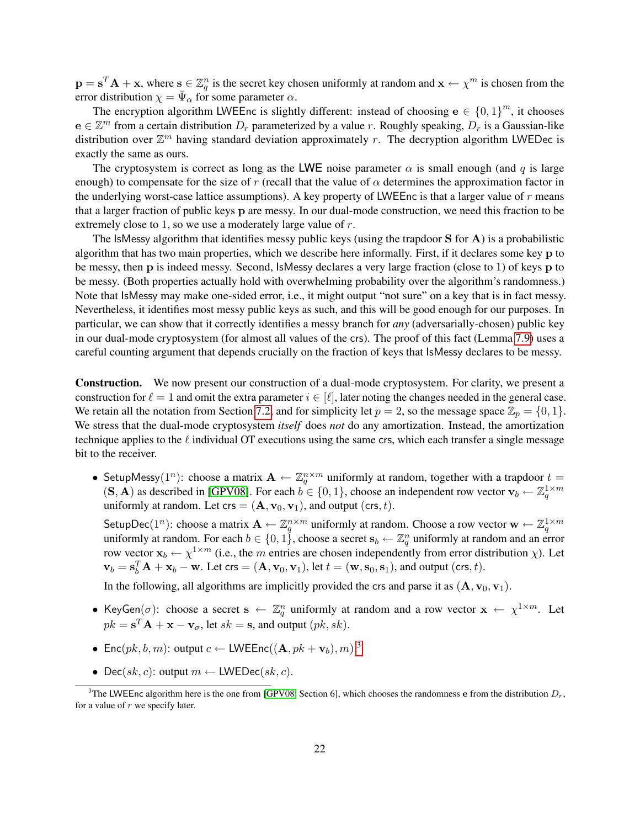$\mathbf{p} = \mathbf{s}^T \mathbf{A} + \mathbf{x}$ , where  $\mathbf{s} \in \mathbb{Z}_q^n$  is the secret key chosen uniformly at random and  $\mathbf{x} \leftarrow \chi^m$  is chosen from the error distribution  $\chi = \bar{\Psi}_{\alpha}$  for some parameter  $\alpha$ .

The encryption algorithm LWEEnc is slightly different: instead of choosing  $e \in \{0,1\}^m$ , it chooses  $e \in \mathbb{Z}^m$  from a certain distribution  $D_r$  parameterized by a value r. Roughly speaking,  $D_r$  is a Gaussian-like distribution over  $\mathbb{Z}^m$  having standard deviation approximately r. The decryption algorithm LWEDec is exactly the same as ours.

The cryptosystem is correct as long as the LWE noise parameter  $\alpha$  is small enough (and q is large enough) to compensate for the size of r (recall that the value of  $\alpha$  determines the approximation factor in the underlying worst-case lattice assumptions). A key property of LWEEnc is that a larger value of  $r$  means that a larger fraction of public keys p are messy. In our dual-mode construction, we need this fraction to be extremely close to 1, so we use a moderately large value of r.

The IsMessy algorithm that identifies messy public keys (using the trapdoor S for A) is a probabilistic algorithm that has two main properties, which we describe here informally. First, if it declares some key p to be messy, then p is indeed messy. Second, IsMessy declares a very large fraction (close to 1) of keys p to be messy. (Both properties actually hold with overwhelming probability over the algorithm's randomness.) Note that IsMessy may make one-sided error, i.e., it might output "not sure" on a key that is in fact messy. Nevertheless, it identifies most messy public keys as such, and this will be good enough for our purposes. In particular, we can show that it correctly identifies a messy branch for *any* (adversarially-chosen) public key in our dual-mode cryptosystem (for almost all values of the crs). The proof of this fact (Lemma [7.9\)](#page-23-1) uses a careful counting argument that depends crucially on the fraction of keys that IsMessy declares to be messy.

Construction. We now present our construction of a dual-mode cryptosystem. For clarity, we present a construction for  $\ell = 1$  and omit the extra parameter  $i \in [\ell]$ , later noting the changes needed in the general case. We retain all the notation from Section [7.2,](#page-16-0) and for simplicity let  $p = 2$ , so the message space  $\mathbb{Z}_p = \{0, 1\}$ . We stress that the dual-mode cryptosystem *itself* does *not* do any amortization. Instead, the amortization technique applies to the  $\ell$  individual OT executions using the same crs, which each transfer a single message bit to the receiver.

• SetupMessy(1<sup>n</sup>): choose a matrix  $\mathbf{A} \leftarrow \mathbb{Z}_q^{n \times m}$  uniformly at random, together with a trapdoor  $t =$  $(S, A)$  as described in [\[GPV08\]](#page-26-8). For each  $b \in \{0, 1\}$ , choose an independent row vector  $\mathbf{v}_b \leftarrow \mathbb{Z}_q^{1 \times m}$ uniformly at random. Let crs =  $(\mathbf{A}, \mathbf{v}_0, \mathbf{v}_1)$ , and output (crs, t).

SetupDec $(1^n)$ : choose a matrix  $\mathbf{A} \leftarrow \mathbb{Z}_q^{n \times m}$  uniformly at random. Choose a row vector  $\mathbf{w} \leftarrow \mathbb{Z}_q^{1 \times m}$ uniformly at random. For each  $b \in \{0, 1\}$ , choose a secret  $\mathbf{s}_b \leftarrow \mathbb{Z}_q^n$  uniformly at random and an error row vector  $\mathbf{x}_b \leftarrow \chi^{1 \times m}$  (i.e., the m entries are chosen independently from error distribution  $\chi$ ). Let  $\mathbf{v}_b = \mathbf{s}_b^T \mathbf{A} + \mathbf{x}_b - \mathbf{w}$ . Let  $\mathsf{crs} = (\mathbf{A}, \mathbf{v}_0, \mathbf{v}_1)$ , let  $t = (\mathbf{w}, \mathbf{s}_0, \mathbf{s}_1)$ , and output (crs, t).

In the following, all algorithms are implicitly provided the crs and parse it as  $(A, v_0, v_1)$ .

- KeyGen( $\sigma$ ): choose a secret  $\mathbf{s} \leftarrow \mathbb{Z}_q^n$  uniformly at random and a row vector  $\mathbf{x} \leftarrow \chi^{1 \times m}$ . Let  $pk = s^T A + x - v_\sigma$ , let  $sk = s$ , and output  $(pk, sk)$ .
- Enc $(pk, b, m)$ : output  $c \leftarrow$  LWEEnc $((\mathbf{A}, pk + \mathbf{v}_b), m)^3$  $((\mathbf{A}, pk + \mathbf{v}_b), m)^3$
- Dec(sk, c): output  $m \leftarrow$  LWEDec(sk, c).

<span id="page-21-0"></span><sup>&</sup>lt;sup>3</sup>The LWEEnc algorithm here is the one from [\[GPV08,](#page-26-8) Section 6], which chooses the randomness e from the distribution  $D_r$ , for a value of  $r$  we specify later.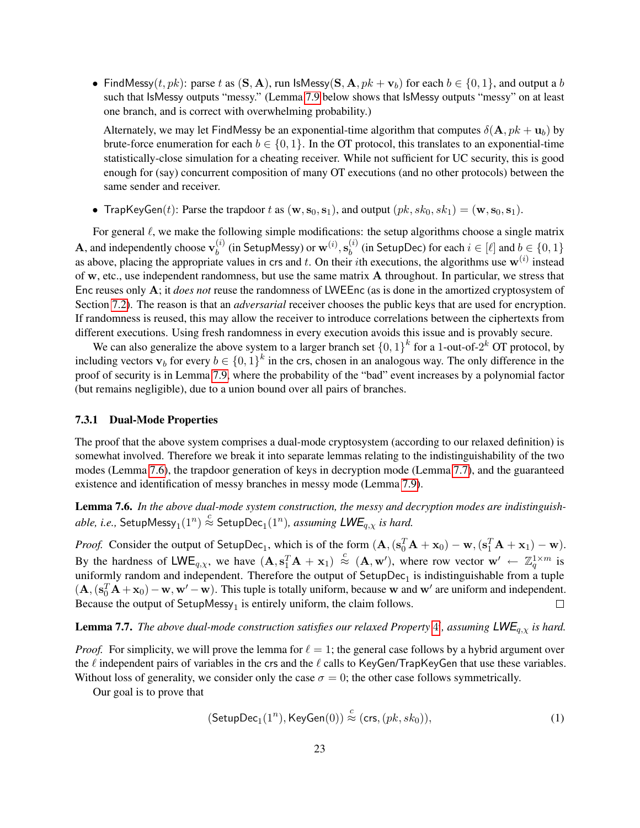• FindMessy(t, pk): parse t as  $(S, A)$ , run IsMessy( $S, A, pk + v_b$ ) for each  $b \in \{0, 1\}$ , and output a b such that IsMessy outputs "messy." (Lemma [7.9](#page-23-1) below shows that IsMessy outputs "messy" on at least one branch, and is correct with overwhelming probability.)

Alternately, we may let FindMessy be an exponential-time algorithm that computes  $\delta(A, pk + u_b)$  by brute-force enumeration for each  $b \in \{0, 1\}$ . In the OT protocol, this translates to an exponential-time statistically-close simulation for a cheating receiver. While not sufficient for UC security, this is good enough for (say) concurrent composition of many OT executions (and no other protocols) between the same sender and receiver.

• TrapKeyGen(t): Parse the trapdoor t as  $(\mathbf{w}, \mathbf{s}_0, \mathbf{s}_1)$ , and output  $(pk, sk_0, sk_1) = (\mathbf{w}, \mathbf{s}_0, \mathbf{s}_1)$ .

For general  $\ell$ , we make the following simple modifications: the setup algorithms choose a single matrix **A**, and independently choose  $\mathbf{v}_h^{(i)}$  $\mathbf{b}^{(i)}_{b}$  (in SetupMessy) or  $\mathbf{w}^{(i)}, \mathbf{s}^{(i)}_{b}$  $\lambda_b^{(i)}$  (in SetupDec) for each  $i \in [\ell]$  and  $b \in \{0, 1\}$ as above, placing the appropriate values in crs and t. On their ith executions, the algorithms use  $w^{(i)}$  instead of w, etc., use independent randomness, but use the same matrix A throughout. In particular, we stress that Enc reuses only A; it *does not* reuse the randomness of LWEEnc (as is done in the amortized cryptosystem of Section [7.2\)](#page-16-0). The reason is that an *adversarial* receiver chooses the public keys that are used for encryption. If randomness is reused, this may allow the receiver to introduce correlations between the ciphertexts from different executions. Using fresh randomness in every execution avoids this issue and is provably secure.

We can also generalize the above system to a larger branch set  $\{0,1\}^k$  for a 1-out-of- $2^k$  OT protocol, by including vectors  $\mathbf{v}_b$  for every  $b \in \{0,1\}^k$  in the crs, chosen in an analogous way. The only difference in the proof of security is in Lemma [7.9,](#page-23-1) where the probability of the "bad" event increases by a polynomial factor (but remains negligible), due to a union bound over all pairs of branches.

#### 7.3.1 Dual-Mode Properties

The proof that the above system comprises a dual-mode cryptosystem (according to our relaxed definition) is somewhat involved. Therefore we break it into separate lemmas relating to the indistinguishability of the two modes (Lemma [7.6\)](#page-22-0), the trapdoor generation of keys in decryption mode (Lemma [7.7\)](#page-22-1), and the guaranteed existence and identification of messy branches in messy mode (Lemma [7.9\)](#page-23-1).

<span id="page-22-0"></span>Lemma 7.6. *In the above dual-mode system construction, the messy and decryption modes are indistinguish-* $\hat{a}$ *able, i.e.,* SetupMessy $_1(1^n)\stackrel{c}{\approx}$  Setup $\mathrm{Dec}_1(1^n)$ *, assuming*  $\mathsf{LWE}_{q,\chi}$  *is hard.* 

*Proof.* Consider the output of SetupDec<sub>1</sub>, which is of the form  $(A, (s_0^T A + x_0) - w, (s_1^T A + x_1) - w)$ . By the hardness of  $\mathsf{LWE}_{q,\chi}$ , we have  $(\mathbf{A}, \mathbf{s}_1^T \mathbf{A} + \mathbf{x}_1) \stackrel{c}{\approx} (\mathbf{A}, \mathbf{w}')$ , where row vector  $\mathbf{w}' \leftarrow \mathbb{Z}_q^{1 \times m}$  is uniformly random and independent. Therefore the output of  $SetupDec_1$  is indistinguishable from a tuple  $(A, (s_0^T A + x_0) - w, w' - w)$ . This tuple is totally uniform, because w and w' are uniform and independent. Because the output of  $SetupMessy_1$  is entirely uniform, the claim follows.  $\Box$ 

<span id="page-22-1"></span>**Lemma 7.7.** The above dual-mode construction satisfies our relaxed Property [4](#page-7-0)', assuming  $\mathsf{LWE}_{q,\chi}$  is hard.

*Proof.* For simplicity, we will prove the lemma for  $\ell = 1$ ; the general case follows by a hybrid argument over the  $\ell$  independent pairs of variables in the crs and the  $\ell$  calls to KeyGen/TrapKeyGen that use these variables. Without loss of generality, we consider only the case  $\sigma = 0$ ; the other case follows symmetrically.

Our goal is to prove that

<span id="page-22-2"></span>
$$
(\mathsf{SetupDec}_1(1^n), \mathsf{KeyGen}(0)) \stackrel{c}{\approx} (\mathsf{crs}, (pk, sk_0)), \tag{1}
$$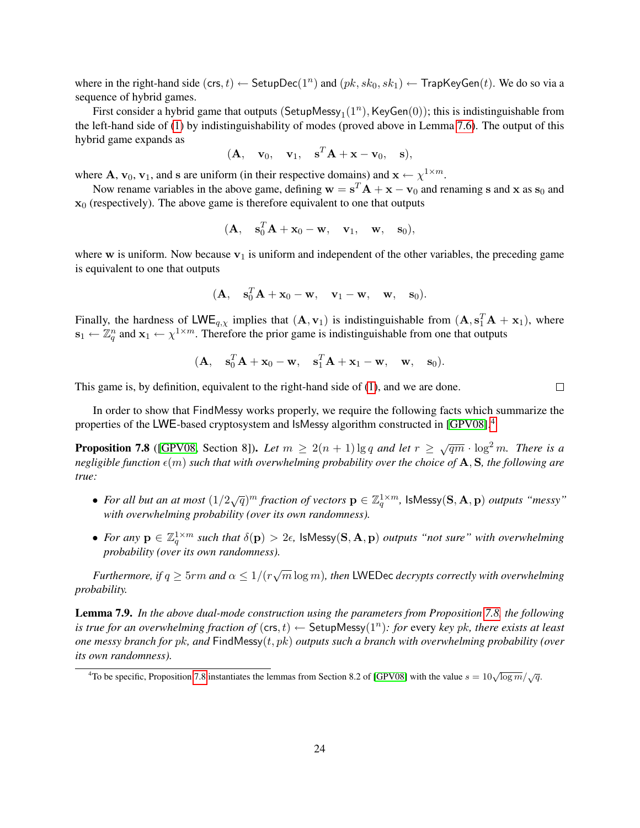where in the right-hand side  $(\text{crs}, t) \leftarrow \text{SetupDec}(1^n)$  and  $(pk, sk_0, sk_1) \leftarrow \text{TrapKeyGen}(t)$ . We do so via a sequence of hybrid games.

First consider a hybrid game that outputs  $(\mathsf{SetupMessy}_1(1^n), \mathsf{KeyGen}(0));$  this is indistinguishable from the left-hand side of [\(1\)](#page-22-2) by indistinguishability of modes (proved above in Lemma [7.6\)](#page-22-0). The output of this hybrid game expands as

$$
(\mathbf{A}, \quad \mathbf{v}_0, \quad \mathbf{v}_1, \quad \mathbf{s}^T \mathbf{A} + \mathbf{x} - \mathbf{v}_0, \quad \mathbf{s}),
$$

where **A**,  $v_0$ ,  $v_1$ , and s are uniform (in their respective domains) and  $x \leftarrow \chi^{1 \times m}$ .

Now rename variables in the above game, defining  $w = s^T A + x - v_0$  and renaming s and x as  $s_0$  and  $x_0$  (respectively). The above game is therefore equivalent to one that outputs

$$
(\mathbf{A}, \quad \mathbf{s}_0^T \mathbf{A} + \mathbf{x}_0 - \mathbf{w}, \quad \mathbf{v}_1, \quad \mathbf{w}, \quad \mathbf{s}_0),
$$

where w is uniform. Now because  $v_1$  is uniform and independent of the other variables, the preceding game is equivalent to one that outputs

$$
(\mathbf{A}, \quad \mathbf{s}_0^T \mathbf{A} + \mathbf{x}_0 - \mathbf{w}, \quad \mathbf{v}_1 - \mathbf{w}, \quad \mathbf{w}, \quad \mathbf{s}_0).
$$

Finally, the hardness of LWE<sub>q, $\chi$ </sub> implies that  $(A, v_1)$  is indistinguishable from  $(A, s_1^T A + x_1)$ , where  $\mathbf{s}_1 \leftarrow \mathbb{Z}_q^n$  and  $\mathbf{x}_1 \leftarrow \chi^{1 \times m}$ . Therefore the prior game is indistinguishable from one that outputs

$$
(\mathbf{A}, \quad \mathbf{s}_0^T \mathbf{A} + \mathbf{x}_0 - \mathbf{w}, \quad \mathbf{s}_1^T \mathbf{A} + \mathbf{x}_1 - \mathbf{w}, \quad \mathbf{w}, \quad \mathbf{s}_0).
$$

This game is, by definition, equivalent to the right-hand side of [\(1\)](#page-22-2), and we are done.

In order to show that FindMessy works properly, we require the following facts which summarize the properties of the LWE-based cryptosystem and IsMessy algorithm constructed in [\[GPV08\]](#page-26-8).[4](#page-23-2)

<span id="page-23-0"></span>**Proposition 7.8** ([\[GPV08,](#page-26-8) Section 8]). Let  $m \geq 2(n+1) \lg q$  and let  $r \geq \sqrt{qm} \cdot \log^2 m$ . There is a *negligible function*  $\epsilon(m)$  *such that with overwhelming probability over the choice of* A, S, the following are *true:*

- For all but an at most  $(1/2\sqrt{q})^m$  fraction of vectors  $\mathbf{p} \in \mathbb{Z}_q^{1 \times m}$ ,  $\mathsf{IsMessage}(\mathbf{S}, \mathbf{A}, \mathbf{p})$  *outputs "messy" with overwhelming probability (over its own randomness).*
- For any  $p \in \mathbb{Z}_q^{1 \times m}$  such that  $\delta(p) > 2\epsilon$ , IsMessy(S, A, p) outputs "not sure" with overwhelming *probability (over its own randomness).*

*Furthermore, if*  $q \ge 5$ rm and  $\alpha \le 1/(r\sqrt{m}\log m)$ , then LWEDec decrypts correctly with overwhelming *probability.*

<span id="page-23-1"></span>Lemma 7.9. *In the above dual-mode construction using the parameters from Proposition [7.8,](#page-23-0) the following* is true for an overwhelming fraction of  $(\mathsf{crs},t) \leftarrow \mathsf{SetupMessage}(1^n)$ : for every key pk, there exists at least *one messy branch for* pk*, and* FindMessy(t, pk) *outputs such a branch with overwhelming probability (over its own randomness).*

 $\Box$ 

<span id="page-23-2"></span><sup>&</sup>lt;sup>4</sup>To be specific, Proposition [7.8](#page-23-0) instantiates the lemmas from Section 8.2 of [\[GPV08\]](#page-26-8) with the value  $s = 10\sqrt{\log m}/\sqrt{q}$ .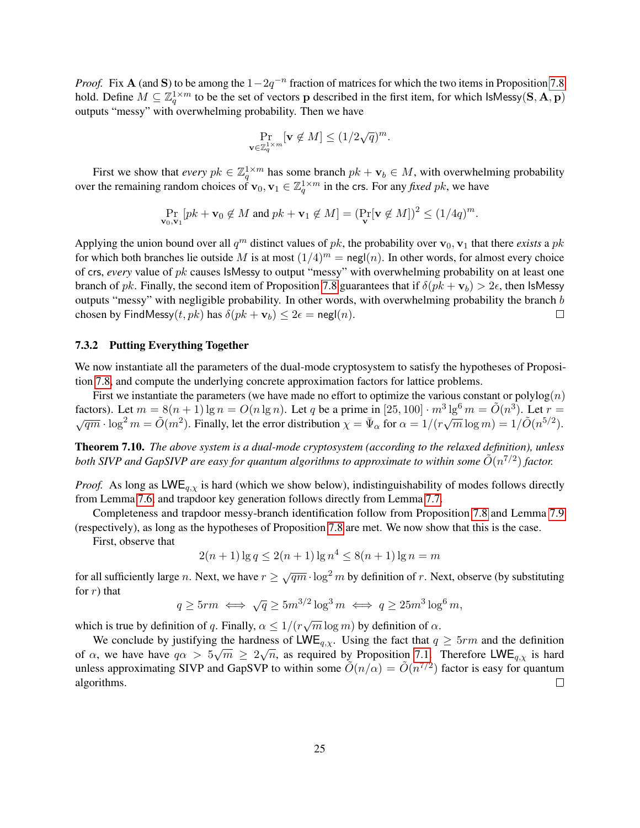*Proof.* Fix **A** (and S) to be among the  $1 - 2q^{-n}$  fraction of matrices for which the two items in Proposition [7.8](#page-23-0) hold. Define  $M \subseteq \mathbb{Z}_q^{1 \times m}$  to be the set of vectors p described in the first item, for which IsMessy(S, A, p) outputs "messy" with overwhelming probability. Then we have

$$
\Pr_{\mathbf{v}\in\mathbb{Z}_q^{1\times m}}[\mathbf{v}\notin M] \le (1/2\sqrt{q})^m.
$$

First we show that *every*  $pk \in \mathbb{Z}_q^{1 \times m}$  has some branch  $pk + \mathbf{v}_b \in M$ , with overwhelming probability over the remaining random choices of  $\mathbf{v}_0, \mathbf{v}_1 \in \mathbb{Z}_q^{1 \times m}$  in the crs. For any *fixed pk*, we have

$$
\Pr_{\mathbf{v}_0,\mathbf{v}_1}[pk+\mathbf{v}_0\not\in M \text{ and } pk+\mathbf{v}_1\not\in M] = (\Pr_{\mathbf{v}}[\mathbf{v}\not\in M])^2 \le (1/4q)^m.
$$

Applying the union bound over all  $q^m$  distinct values of pk, the probability over  $\mathbf{v}_0$ ,  $\mathbf{v}_1$  that there *exists* a pk for which both branches lie outside M is at most  $(1/4)^m = \text{negl}(n)$ . In other words, for almost every choice of crs, *every* value of pk causes IsMessy to output "messy" with overwhelming probability on at least one branch of pk. Finally, the second item of Proposition [7.8](#page-23-0) guarantees that if  $\delta(pk + v_b) > 2\epsilon$ , then IsMessy outputs "messy" with negligible probability. In other words, with overwhelming probability the branch b chosen by FindMessy $(t, pk)$  has  $\delta(pk + v_b) \leq 2\epsilon = \text{negl}(n)$ .  $\Box$ 

### 7.3.2 Putting Everything Together

We now instantiate all the parameters of the dual-mode cryptosystem to satisfy the hypotheses of Proposition [7.8,](#page-23-0) and compute the underlying concrete approximation factors for lattice problems.

First we instantiate the parameters (we have made no effort to optimize the various constant or polylog $(n)$ ) factors). Let  $m = 8(n + 1) \lg n = O(n \lg n)$ . Let q be a prime in  $[25, 100] \cdot m^3 \lg^6 m = \tilde{O}(n^3)$ factors). Let  $m = 8(n + 1) \lg n = O(n \lg n)$ . Let q be a prime in  $[25, 100] \cdot m^3 \lg^6 m = O(n^3)$ . Let  $r = \sqrt{qm} \cdot \log^2 m = \tilde{O}(m^2)$ . Finally, let the error distribution  $\chi = \bar{\Psi}_{\alpha}$  for  $\alpha = 1/(r\sqrt{m} \log m) = 1/\tilde{O}(n^{5/2})$ .

Theorem 7.10. *The above system is a dual-mode cryptosystem (according to the relaxed definition), unless* both SIVP and GapSIVP are easy for quantum algorithms to approximate to within some  $\tilde{O}(n^{7/2})$  factor.

*Proof.* As long as  $LWE_{q,y}$  is hard (which we show below), indistinguishability of modes follows directly from Lemma [7.6,](#page-22-0) and trapdoor key generation follows directly from Lemma [7.7.](#page-22-1)

Completeness and trapdoor messy-branch identification follow from Proposition [7.8](#page-23-0) and Lemma [7.9](#page-23-1) (respectively), as long as the hypotheses of Proposition [7.8](#page-23-0) are met. We now show that this is the case.

First, observe that

 $2(n+1)\lg q \leq 2(n+1)\lg n^4 \leq 8(n+1)\lg n = m$ 

for all sufficiently large n. Next, we have  $r \geq \sqrt{qm} \cdot \log^2 m$  by definition of r. Next, observe (by substituting for  $r$ ) that

$$
q \ge 5rm \iff \sqrt{q} \ge 5m^{3/2}\log^3 m \iff q \ge 25m^3\log^6 m,
$$

which is true by definition of q. Finally,  $\alpha \leq 1/(r\sqrt{m}\log m)$  by definition of  $\alpha$ .

We conclude by justifying the hardness of  $\mathsf{LWE}_{q,\chi}$ . Using the fact that  $q \ge 5\tau m$  and the definition of  $\alpha$ , we have have  $q\alpha > 5\sqrt{m} \ge 2\sqrt{n}$ , as required by Proposition [7.1.](#page-15-0) Therefore LWE<sub>q,  $\chi$ </sub> is hard unless approximating SIVP and GapSVP to within some  $\tilde{O}(n/\alpha) = \tilde{O}(n^{7/2})$  factor is easy for quantum algorithms.  $\Box$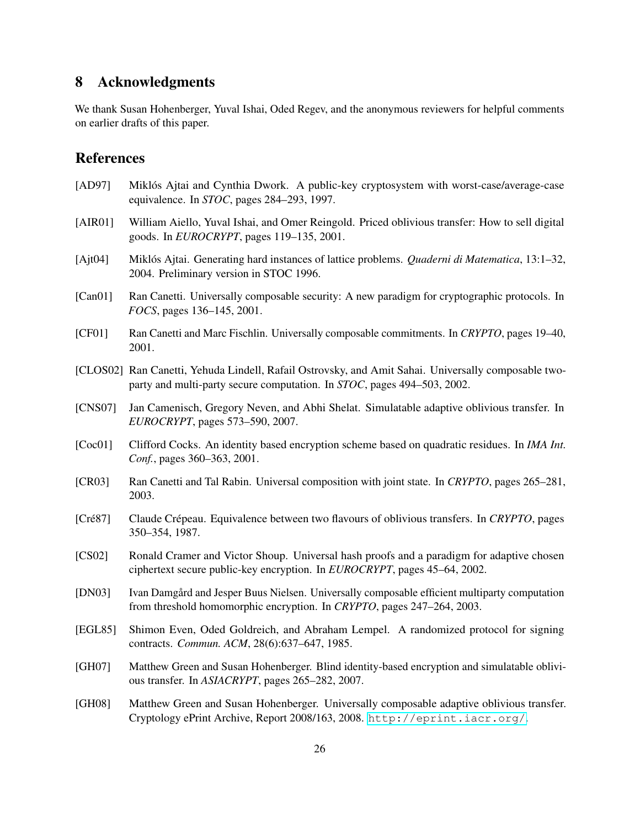# 8 Acknowledgments

We thank Susan Hohenberger, Yuval Ishai, Oded Regev, and the anonymous reviewers for helpful comments on earlier drafts of this paper.

### References

- <span id="page-25-5"></span>[AD97] Miklós Ajtai and Cynthia Dwork. A public-key cryptosystem with worst-case/average-case equivalence. In *STOC*, pages 284–293, 1997.
- <span id="page-25-2"></span>[AIR01] William Aiello, Yuval Ishai, and Omer Reingold. Priced oblivious transfer: How to sell digital goods. In *EUROCRYPT*, pages 119–135, 2001.
- <span id="page-25-4"></span>[Ajt04] Miklós Ajtai. Generating hard instances of lattice problems. *Quaderni di Matematica*, 13:1–32, 2004. Preliminary version in STOC 1996.
- <span id="page-25-6"></span>[Can01] Ran Canetti. Universally composable security: A new paradigm for cryptographic protocols. In *FOCS*, pages 136–145, 2001.
- <span id="page-25-7"></span>[CF01] Ran Canetti and Marc Fischlin. Universally composable commitments. In *CRYPTO*, pages 19–40, 2001.
- <span id="page-25-14"></span>[CLOS02] Ran Canetti, Yehuda Lindell, Rafail Ostrovsky, and Amit Sahai. Universally composable twoparty and multi-party secure computation. In *STOC*, pages 494–503, 2002.
- <span id="page-25-9"></span>[CNS07] Jan Camenisch, Gregory Neven, and Abhi Shelat. Simulatable adaptive oblivious transfer. In *EUROCRYPT*, pages 573–590, 2007.
- <span id="page-25-8"></span>[Coc01] Clifford Cocks. An identity based encryption scheme based on quadratic residues. In *IMA Int. Conf.*, pages 360–363, 2001.
- <span id="page-25-13"></span>[CR03] Ran Canetti and Tal Rabin. Universal composition with joint state. In *CRYPTO*, pages 265–281, 2003.
- <span id="page-25-0"></span>[Cré87] Claude Crépeau. Equivalence between two flavours of oblivious transfers. In *CRYPTO*, pages 350–354, 1987.
- <span id="page-25-3"></span>[CS02] Ronald Cramer and Victor Shoup. Universal hash proofs and a paradigm for adaptive chosen ciphertext secure public-key encryption. In *EUROCRYPT*, pages 45–64, 2002.
- <span id="page-25-12"></span>[DN03] Ivan Damgård and Jesper Buus Nielsen. Universally composable efficient multiparty computation from threshold homomorphic encryption. In *CRYPTO*, pages 247–264, 2003.
- <span id="page-25-1"></span>[EGL85] Shimon Even, Oded Goldreich, and Abraham Lempel. A randomized protocol for signing contracts. *Commun. ACM*, 28(6):637–647, 1985.
- <span id="page-25-10"></span>[GH07] Matthew Green and Susan Hohenberger. Blind identity-based encryption and simulatable oblivious transfer. In *ASIACRYPT*, pages 265–282, 2007.
- <span id="page-25-11"></span>[GH08] Matthew Green and Susan Hohenberger. Universally composable adaptive oblivious transfer. Cryptology ePrint Archive, Report 2008/163, 2008. <http://eprint.iacr.org/>.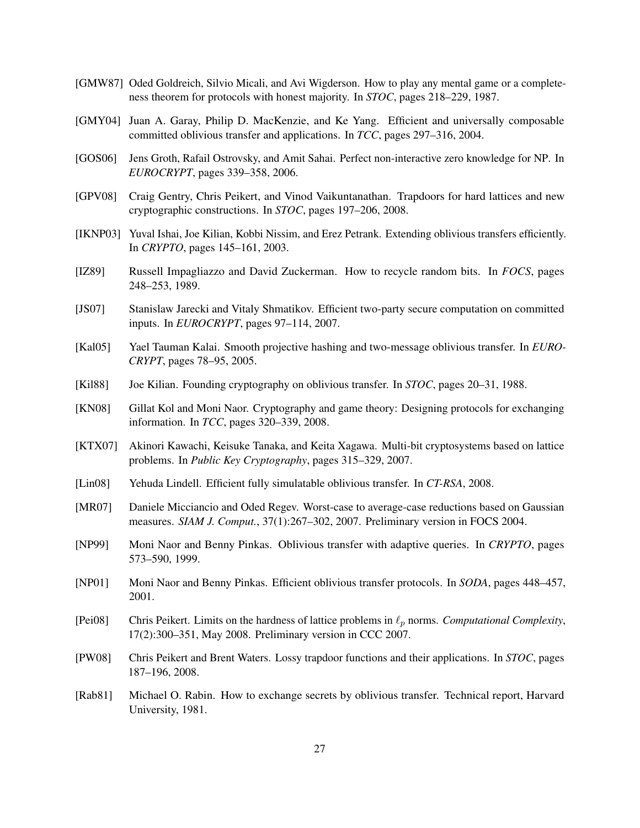- <span id="page-26-1"></span>[GMW87] Oded Goldreich, Silvio Micali, and Avi Wigderson. How to play any mental game or a completeness theorem for protocols with honest majority. In *STOC*, pages 218–229, 1987.
- <span id="page-26-13"></span>[GMY04] Juan A. Garay, Philip D. MacKenzie, and Ke Yang. Efficient and universally composable committed oblivious transfer and applications. In *TCC*, pages 297–316, 2004.
- <span id="page-26-9"></span>[GOS06] Jens Groth, Rafail Ostrovsky, and Amit Sahai. Perfect non-interactive zero knowledge for NP. In *EUROCRYPT*, pages 339–358, 2006.
- <span id="page-26-8"></span>[GPV08] Craig Gentry, Chris Peikert, and Vinod Vaikuntanathan. Trapdoors for hard lattices and new cryptographic constructions. In *STOC*, pages 197–206, 2008.
- <span id="page-26-14"></span>[IKNP03] Yuval Ishai, Joe Kilian, Kobbi Nissim, and Erez Petrank. Extending oblivious transfers efficiently. In *CRYPTO*, pages 145–161, 2003.
- <span id="page-26-17"></span>[IZ89] Russell Impagliazzo and David Zuckerman. How to recycle random bits. In *FOCS*, pages 248–253, 1989.
- <span id="page-26-12"></span>[JS07] Stanislaw Jarecki and Vitaly Shmatikov. Efficient two-party secure computation on committed inputs. In *EUROCRYPT*, pages 97–114, 2007.
- <span id="page-26-4"></span>[Kal05] Yael Tauman Kalai. Smooth projective hashing and two-message oblivious transfer. In *EURO-CRYPT*, pages 78–95, 2005.
- <span id="page-26-2"></span>[Kil88] Joe Kilian. Founding cryptography on oblivious transfer. In *STOC*, pages 20–31, 1988.
- <span id="page-26-10"></span>[KN08] Gillat Kol and Moni Naor. Cryptography and game theory: Designing protocols for exchanging information. In *TCC*, pages 320–339, 2008.
- <span id="page-26-16"></span>[KTX07] Akinori Kawachi, Keisuke Tanaka, and Keita Xagawa. Multi-bit cryptosystems based on lattice problems. In *Public Key Cryptography*, pages 315–329, 2007.
- <span id="page-26-5"></span>[Lin08] Yehuda Lindell. Efficient fully simulatable oblivious transfer. In *CT-RSA*, 2008.
- <span id="page-26-6"></span>[MR07] Daniele Micciancio and Oded Regev. Worst-case to average-case reductions based on Gaussian measures. *SIAM J. Comput.*, 37(1):267–302, 2007. Preliminary version in FOCS 2004.
- <span id="page-26-11"></span>[NP99] Moni Naor and Benny Pinkas. Oblivious transfer with adaptive queries. In *CRYPTO*, pages 573–590, 1999.
- <span id="page-26-3"></span>[NP01] Moni Naor and Benny Pinkas. Efficient oblivious transfer protocols. In *SODA*, pages 448–457, 2001.
- <span id="page-26-15"></span>[Pei08] Chris Peikert. Limits on the hardness of lattice problems in  $\ell_p$  norms. *Computational Complexity*, 17(2):300–351, May 2008. Preliminary version in CCC 2007.
- <span id="page-26-7"></span>[PW08] Chris Peikert and Brent Waters. Lossy trapdoor functions and their applications. In *STOC*, pages 187–196, 2008.
- <span id="page-26-0"></span>[Rab81] Michael O. Rabin. How to exchange secrets by oblivious transfer. Technical report, Harvard University, 1981.